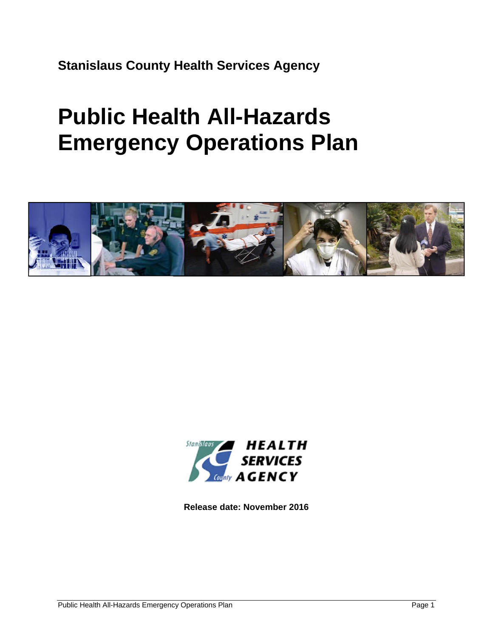**Stanislaus County Health Services Agency** 

# **Public Health All-Hazards Emergency Operations Plan**





**Release date: November 2016**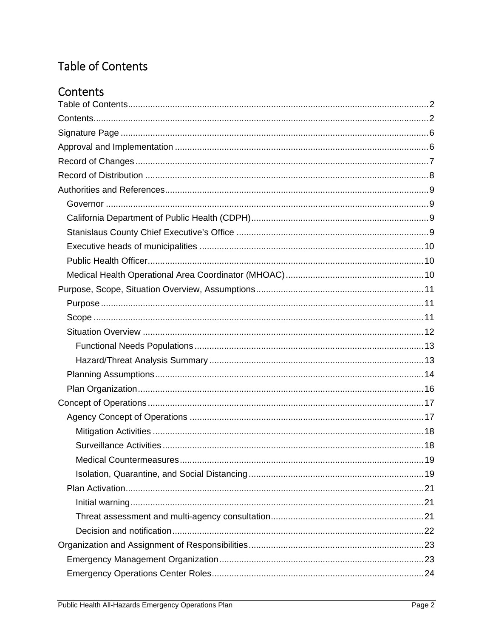# Table of Contents

# Contents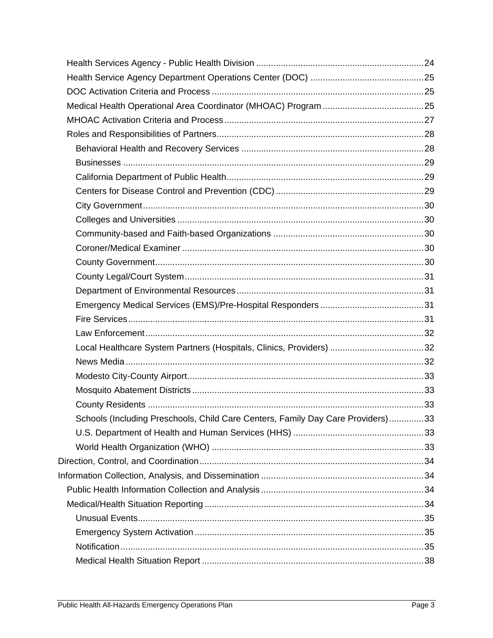| Schools (Including Preschools, Child Care Centers, Family Day Care Providers)33 |  |
|---------------------------------------------------------------------------------|--|
|                                                                                 |  |
|                                                                                 |  |
|                                                                                 |  |
|                                                                                 |  |
|                                                                                 |  |
|                                                                                 |  |
|                                                                                 |  |
|                                                                                 |  |
|                                                                                 |  |
|                                                                                 |  |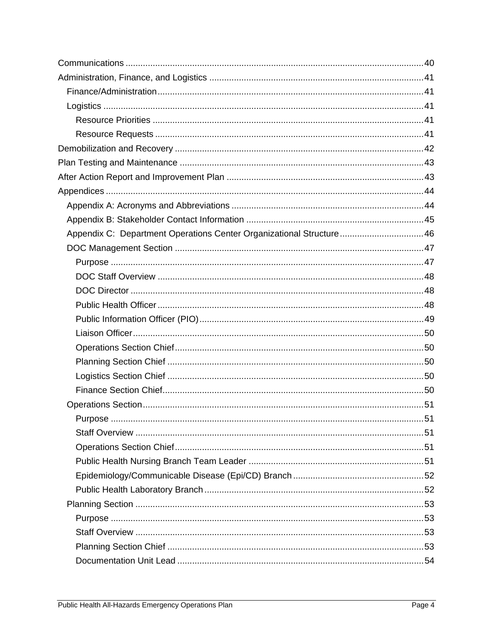| Appendix C: Department Operations Center Organizational Structure 46 |  |
|----------------------------------------------------------------------|--|
|                                                                      |  |
|                                                                      |  |
|                                                                      |  |
|                                                                      |  |
|                                                                      |  |
|                                                                      |  |
|                                                                      |  |
|                                                                      |  |
|                                                                      |  |
|                                                                      |  |
|                                                                      |  |
|                                                                      |  |
|                                                                      |  |
|                                                                      |  |
|                                                                      |  |
|                                                                      |  |
|                                                                      |  |
|                                                                      |  |
|                                                                      |  |
|                                                                      |  |
|                                                                      |  |
|                                                                      |  |
|                                                                      |  |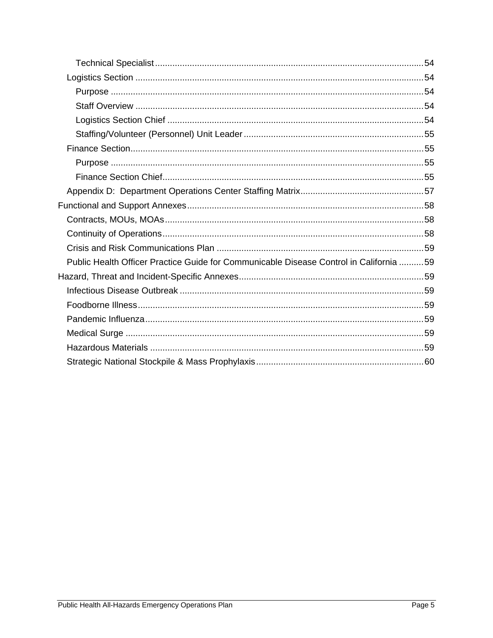| Public Health Officer Practice Guide for Communicable Disease Control in California 59 |  |
|----------------------------------------------------------------------------------------|--|
|                                                                                        |  |
|                                                                                        |  |
|                                                                                        |  |
|                                                                                        |  |
|                                                                                        |  |
|                                                                                        |  |
|                                                                                        |  |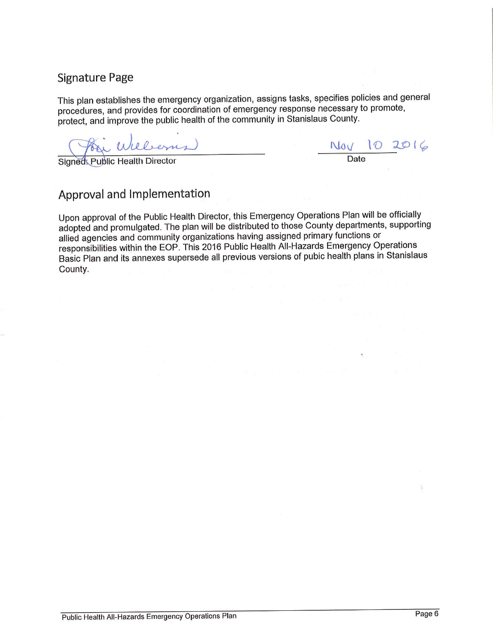### **Signature Page**

This plan establishes the emergency organization, assigns tasks, specifies policies and general procedures, and provides for coordination of emergency response necessary to promote, protect, and improve the public health of the community in Stanislaus County.

i Williams)

 $\frac{N_{0}V}{Date}$  10 2016

Signed: Public Health Director

## Approval and Implementation

Upon approval of the Public Health Director, this Emergency Operations Plan will be officially adopted and promulgated. The plan will be distributed to those County departments, supporting allied agencies and community organizations having assigned primary functions or responsibilities within the EOP. This 2016 Public Health All-Hazards Emergency Operations Basic Plan and its annexes supersede all previous versions of pubic health plans in Stanislaus County.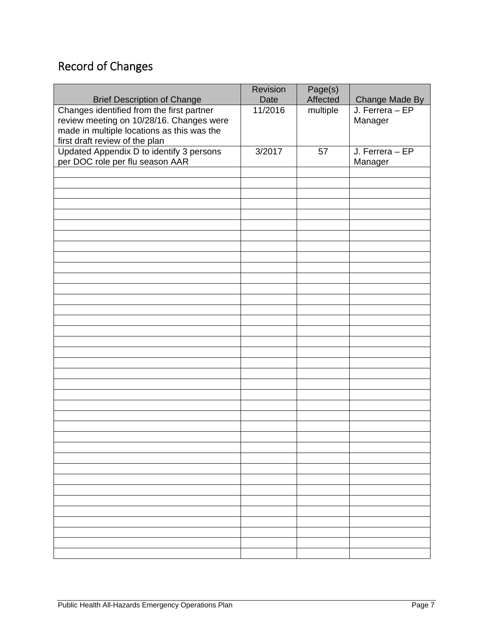# Record of Changes

|                                            | Revision | Page(s)  |                                   |
|--------------------------------------------|----------|----------|-----------------------------------|
| <b>Brief Description of Change</b>         | Date     | Affected | Change Made By<br>J. Ferrera – EP |
| Changes identified from the first partner  | 11/2016  | multiple |                                   |
| review meeting on 10/28/16. Changes were   |          |          | Manager                           |
| made in multiple locations as this was the |          |          |                                   |
| first draft review of the plan             |          |          |                                   |
| Updated Appendix D to identify 3 persons   | 3/2017   | 57       | J. Ferrera - EP                   |
| per DOC role per flu season AAR            |          |          | Manager                           |
|                                            |          |          |                                   |
|                                            |          |          |                                   |
|                                            |          |          |                                   |
|                                            |          |          |                                   |
|                                            |          |          |                                   |
|                                            |          |          |                                   |
|                                            |          |          |                                   |
|                                            |          |          |                                   |
|                                            |          |          |                                   |
|                                            |          |          |                                   |
|                                            |          |          |                                   |
|                                            |          |          |                                   |
|                                            |          |          |                                   |
|                                            |          |          |                                   |
|                                            |          |          |                                   |
|                                            |          |          |                                   |
|                                            |          |          |                                   |
|                                            |          |          |                                   |
|                                            |          |          |                                   |
|                                            |          |          |                                   |
|                                            |          |          |                                   |
|                                            |          |          |                                   |
|                                            |          |          |                                   |
|                                            |          |          |                                   |
|                                            |          |          |                                   |
|                                            |          |          |                                   |
|                                            |          |          |                                   |
|                                            |          |          |                                   |
|                                            |          |          |                                   |
|                                            |          |          |                                   |
|                                            |          |          |                                   |
|                                            |          |          |                                   |
|                                            |          |          |                                   |
|                                            |          |          |                                   |
|                                            |          |          |                                   |
|                                            |          |          |                                   |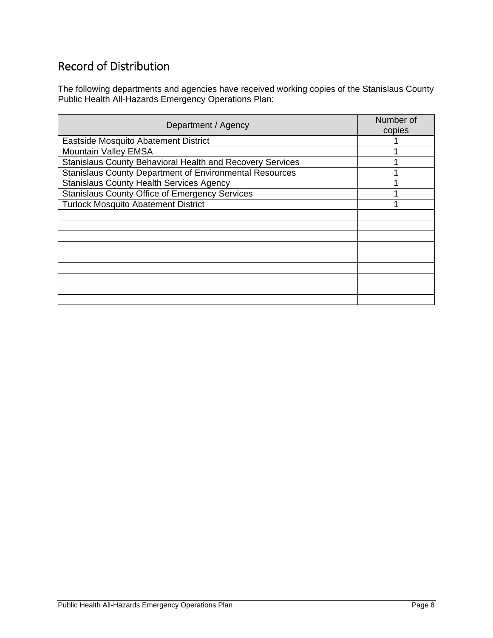### Record of Distribution

The following departments and agencies have received working copies of the Stanislaus County Public Health All-Hazards Emergency Operations Plan:

| Department / Agency                                            | Number of<br>copies |
|----------------------------------------------------------------|---------------------|
| Eastside Mosquito Abatement District                           |                     |
| <b>Mountain Valley EMSA</b>                                    |                     |
| Stanislaus County Behavioral Health and Recovery Services      |                     |
| <b>Stanislaus County Department of Environmental Resources</b> |                     |
| <b>Stanislaus County Health Services Agency</b>                |                     |
| <b>Stanislaus County Office of Emergency Services</b>          |                     |
| <b>Turlock Mosquito Abatement District</b>                     |                     |
|                                                                |                     |
|                                                                |                     |
|                                                                |                     |
|                                                                |                     |
|                                                                |                     |
|                                                                |                     |
|                                                                |                     |
|                                                                |                     |
|                                                                |                     |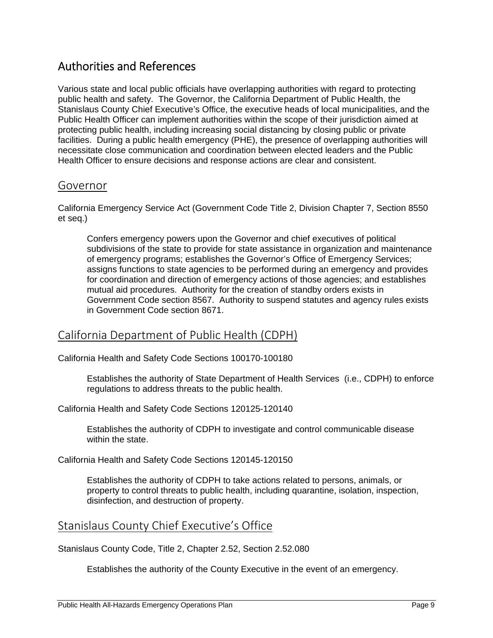### Authorities and References

Various state and local public officials have overlapping authorities with regard to protecting public health and safety. The Governor, the California Department of Public Health, the Stanislaus County Chief Executive's Office, the executive heads of local municipalities, and the Public Health Officer can implement authorities within the scope of their jurisdiction aimed at protecting public health, including increasing social distancing by closing public or private facilities. During a public health emergency (PHE), the presence of overlapping authorities will necessitate close communication and coordination between elected leaders and the Public Health Officer to ensure decisions and response actions are clear and consistent.

#### Governor

California Emergency Service Act (Government Code Title 2, Division Chapter 7, Section 8550 et seq.)

Confers emergency powers upon the Governor and chief executives of political subdivisions of the state to provide for state assistance in organization and maintenance of emergency programs; establishes the Governor's Office of Emergency Services; assigns functions to state agencies to be performed during an emergency and provides for coordination and direction of emergency actions of those agencies; and establishes mutual aid procedures. Authority for the creation of standby orders exists in Government Code section 8567. Authority to suspend statutes and agency rules exists in Government Code section 8671.

#### California Department of Public Health (CDPH)

California Health and Safety Code Sections 100170-100180

Establishes the authority of State Department of Health Services (i.e., CDPH) to enforce regulations to address threats to the public health.

California Health and Safety Code Sections 120125-120140

Establishes the authority of CDPH to investigate and control communicable disease within the state.

California Health and Safety Code Sections 120145-120150

Establishes the authority of CDPH to take actions related to persons, animals, or property to control threats to public health, including quarantine, isolation, inspection, disinfection, and destruction of property.

#### Stanislaus County Chief Executive's Office

Stanislaus County Code, Title 2, Chapter 2.52, Section 2.52.080

Establishes the authority of the County Executive in the event of an emergency.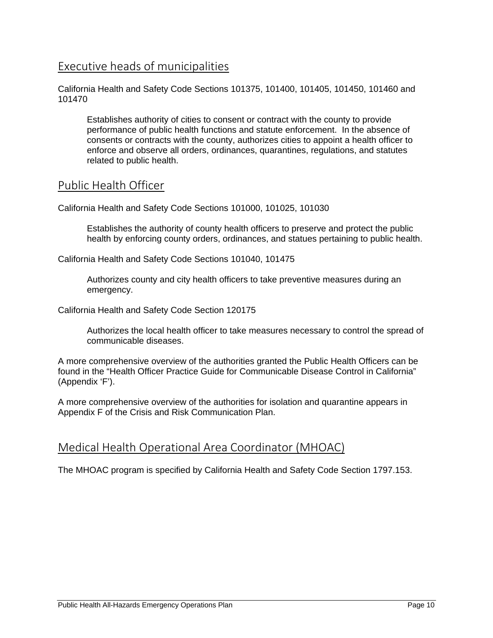### Executive heads of municipalities

California Health and Safety Code Sections 101375, 101400, 101405, 101450, 101460 and 101470

Establishes authority of cities to consent or contract with the county to provide performance of public health functions and statute enforcement. In the absence of consents or contracts with the county, authorizes cities to appoint a health officer to enforce and observe all orders, ordinances, quarantines, regulations, and statutes related to public health.

#### Public Health Officer

California Health and Safety Code Sections 101000, 101025, 101030

Establishes the authority of county health officers to preserve and protect the public health by enforcing county orders, ordinances, and statues pertaining to public health.

California Health and Safety Code Sections 101040, 101475

Authorizes county and city health officers to take preventive measures during an emergency.

California Health and Safety Code Section 120175

Authorizes the local health officer to take measures necessary to control the spread of communicable diseases.

A more comprehensive overview of the authorities granted the Public Health Officers can be found in the "Health Officer Practice Guide for Communicable Disease Control in California" (Appendix 'F').

A more comprehensive overview of the authorities for isolation and quarantine appears in Appendix F of the Crisis and Risk Communication Plan.

#### Medical Health Operational Area Coordinator (MHOAC)

The MHOAC program is specified by California Health and Safety Code Section 1797.153.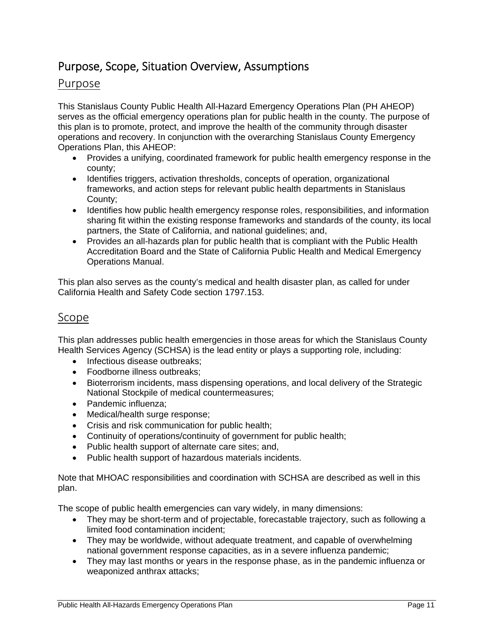### Purpose, Scope, Situation Overview, Assumptions

#### Purpose

This Stanislaus County Public Health All-Hazard Emergency Operations Plan (PH AHEOP) serves as the official emergency operations plan for public health in the county. The purpose of this plan is to promote, protect, and improve the health of the community through disaster operations and recovery. In conjunction with the overarching Stanislaus County Emergency Operations Plan, this AHEOP:

- Provides a unifying, coordinated framework for public health emergency response in the county;
- Identifies triggers, activation thresholds, concepts of operation, organizational frameworks, and action steps for relevant public health departments in Stanislaus County;
- Identifies how public health emergency response roles, responsibilities, and information sharing fit within the existing response frameworks and standards of the county, its local partners, the State of California, and national guidelines; and,
- Provides an all-hazards plan for public health that is compliant with the Public Health Accreditation Board and the State of California Public Health and Medical Emergency Operations Manual.

This plan also serves as the county's medical and health disaster plan, as called for under California Health and Safety Code section 1797.153.

#### Scope

This plan addresses public health emergencies in those areas for which the Stanislaus County Health Services Agency (SCHSA) is the lead entity or plays a supporting role, including:

- Infectious disease outbreaks:
- Foodborne illness outbreaks;
- Bioterrorism incidents, mass dispensing operations, and local delivery of the Strategic National Stockpile of medical countermeasures;
- Pandemic influenza;
- Medical/health surge response;
- Crisis and risk communication for public health;
- Continuity of operations/continuity of government for public health;
- Public health support of alternate care sites; and,
- Public health support of hazardous materials incidents.

Note that MHOAC responsibilities and coordination with SCHSA are described as well in this plan.

The scope of public health emergencies can vary widely, in many dimensions:

- They may be short-term and of projectable, forecastable trajectory, such as following a limited food contamination incident;
- They may be worldwide, without adequate treatment, and capable of overwhelming national government response capacities, as in a severe influenza pandemic;
- They may last months or years in the response phase, as in the pandemic influenza or weaponized anthrax attacks;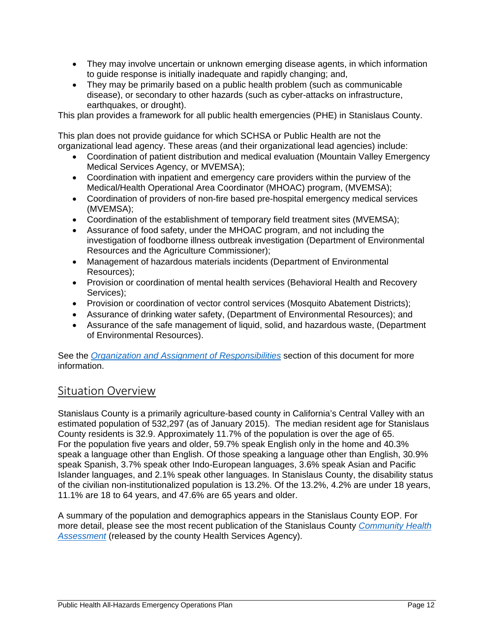- They may involve uncertain or unknown emerging disease agents, in which information to guide response is initially inadequate and rapidly changing; and,
- They may be primarily based on a public health problem (such as communicable disease), or secondary to other hazards (such as cyber-attacks on infrastructure, earthquakes, or drought).

This plan provides a framework for all public health emergencies (PHE) in Stanislaus County.

This plan does not provide guidance for which SCHSA or Public Health are not the organizational lead agency. These areas (and their organizational lead agencies) include:

- Coordination of patient distribution and medical evaluation (Mountain Valley Emergency Medical Services Agency, or MVEMSA);
- Coordination with inpatient and emergency care providers within the purview of the Medical/Health Operational Area Coordinator (MHOAC) program, (MVEMSA);
- Coordination of providers of non-fire based pre-hospital emergency medical services (MVEMSA);
- Coordination of the establishment of temporary field treatment sites (MVEMSA);
- Assurance of food safety, under the MHOAC program, and not including the investigation of foodborne illness outbreak investigation (Department of Environmental Resources and the Agriculture Commissioner);
- Management of hazardous materials incidents (Department of Environmental Resources);
- Provision or coordination of mental health services (Behavioral Health and Recovery Services);
- Provision or coordination of vector control services (Mosquito Abatement Districts);
- Assurance of drinking water safety, (Department of Environmental Resources); and
- Assurance of the safe management of liquid, solid, and hazardous waste, (Department of Environmental Resources).

See the *Organization and Assignment of Responsibilities* section of this document for more information.

#### Situation Overview

Stanislaus County is a primarily agriculture-based county in California's Central Valley with an estimated population of 532,297 (as of January 2015). The median resident age for Stanislaus County residents is 32.9. Approximately 11.7% of the population is over the age of 65. For the population five years and older, 59.7% speak English only in the home and 40.3% speak a language other than English. Of those speaking a language other than English, 30.9% speak Spanish, 3.7% speak other Indo-European languages, 3.6% speak Asian and Pacific Islander languages, and 2.1% speak other languages. In Stanislaus County, the disability status of the civilian non-institutionalized population is 13.2%. Of the 13.2%, 4.2% are under 18 years, 11.1% are 18 to 64 years, and 47.6% are 65 years and older.

A summary of the population and demographics appears in the Stanislaus County EOP. For more detail, please see the most recent publication of the Stanislaus County *Community Health Assessment* (released by the county Health Services Agency).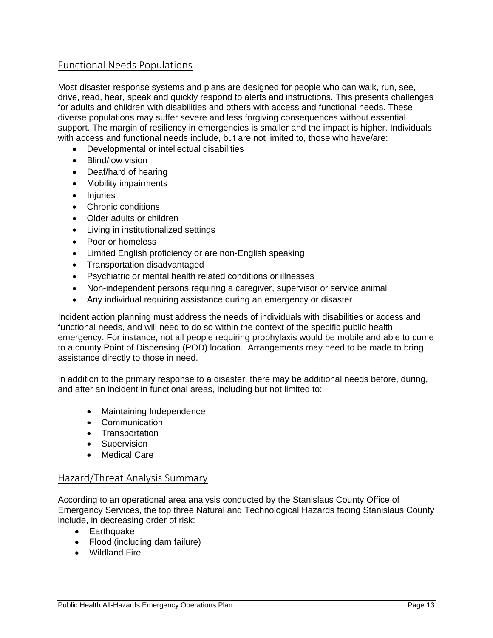#### Functional Needs Populations

Most disaster response systems and plans are designed for people who can walk, run, see, drive, read, hear, speak and quickly respond to alerts and instructions. This presents challenges for adults and children with disabilities and others with access and functional needs. These diverse populations may suffer severe and less forgiving consequences without essential support. The margin of resiliency in emergencies is smaller and the impact is higher. Individuals with access and functional needs include, but are not limited to, those who have/are:

- Developmental or intellectual disabilities
- Blind/low vision
- Deaf/hard of hearing
- Mobility impairments
- Injuries
- Chronic conditions
- Older adults or children
- Living in institutionalized settings
- Poor or homeless
- Limited English proficiency or are non-English speaking
- Transportation disadvantaged
- Psychiatric or mental health related conditions or illnesses
- Non-independent persons requiring a caregiver, supervisor or service animal
- Any individual requiring assistance during an emergency or disaster

Incident action planning must address the needs of individuals with disabilities or access and functional needs, and will need to do so within the context of the specific public health emergency. For instance, not all people requiring prophylaxis would be mobile and able to come to a county Point of Dispensing (POD) location. Arrangements may need to be made to bring assistance directly to those in need.

In addition to the primary response to a disaster, there may be additional needs before, during, and after an incident in functional areas, including but not limited to:

- Maintaining Independence
- Communication
- Transportation
- Supervision
- Medical Care

#### Hazard/Threat Analysis Summary

According to an operational area analysis conducted by the Stanislaus County Office of Emergency Services, the top three Natural and Technological Hazards facing Stanislaus County include, in decreasing order of risk:

- Earthquake
- Flood (including dam failure)
- Wildland Fire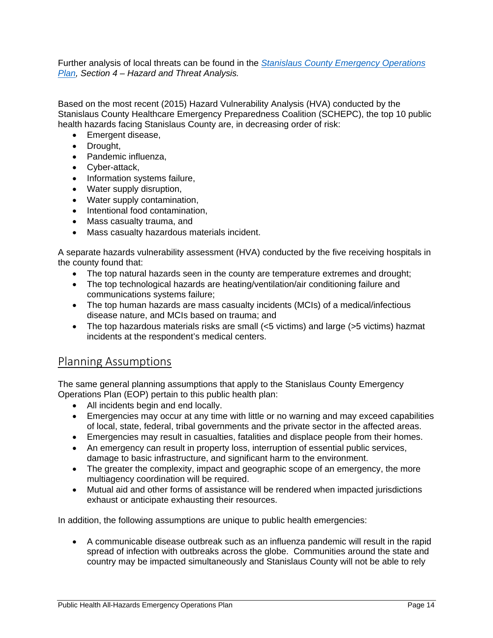Further analysis of local threats can be found in the *Stanislaus County Emergency Operations Plan, Section 4 – Hazard and Threat Analysis.*

Based on the most recent (2015) Hazard Vulnerability Analysis (HVA) conducted by the Stanislaus County Healthcare Emergency Preparedness Coalition (SCHEPC), the top 10 public health hazards facing Stanislaus County are, in decreasing order of risk:

- Emergent disease,
- Drought,
- Pandemic influenza.
- Cyber-attack,
- Information systems failure,
- Water supply disruption,
- Water supply contamination,
- Intentional food contamination,
- Mass casualty trauma, and
- Mass casualty hazardous materials incident.

A separate hazards vulnerability assessment (HVA) conducted by the five receiving hospitals in the county found that:

- The top natural hazards seen in the county are temperature extremes and drought;
- The top technological hazards are heating/ventilation/air conditioning failure and communications systems failure;
- The top human hazards are mass casualty incidents (MCIs) of a medical/infectious disease nature, and MCIs based on trauma; and
- The top hazardous materials risks are small (<5 victims) and large (>5 victims) hazmat incidents at the respondent's medical centers.

#### Planning Assumptions

The same general planning assumptions that apply to the Stanislaus County Emergency Operations Plan (EOP) pertain to this public health plan:

- All incidents begin and end locally.
- Emergencies may occur at any time with little or no warning and may exceed capabilities of local, state, federal, tribal governments and the private sector in the affected areas.
- Emergencies may result in casualties, fatalities and displace people from their homes.
- An emergency can result in property loss, interruption of essential public services, damage to basic infrastructure, and significant harm to the environment.
- The greater the complexity, impact and geographic scope of an emergency, the more multiagency coordination will be required.
- Mutual aid and other forms of assistance will be rendered when impacted jurisdictions exhaust or anticipate exhausting their resources.

In addition, the following assumptions are unique to public health emergencies:

 A communicable disease outbreak such as an influenza pandemic will result in the rapid spread of infection with outbreaks across the globe. Communities around the state and country may be impacted simultaneously and Stanislaus County will not be able to rely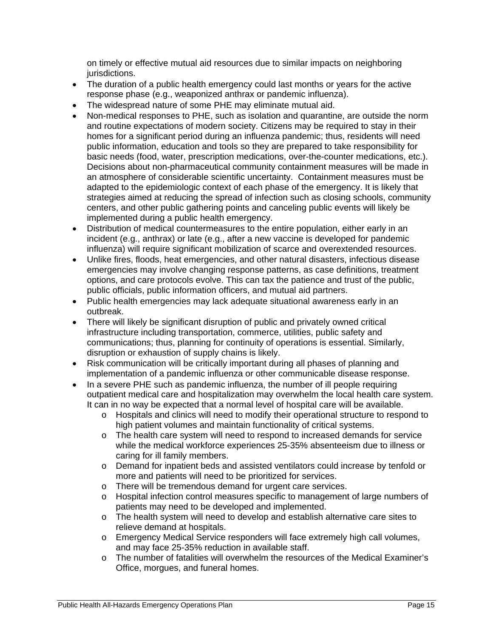on timely or effective mutual aid resources due to similar impacts on neighboring jurisdictions.

- The duration of a public health emergency could last months or years for the active response phase (e.g., weaponized anthrax or pandemic influenza).
- The widespread nature of some PHE may eliminate mutual aid.
- Non-medical responses to PHE, such as isolation and quarantine, are outside the norm and routine expectations of modern society. Citizens may be required to stay in their homes for a significant period during an influenza pandemic; thus, residents will need public information, education and tools so they are prepared to take responsibility for basic needs (food, water, prescription medications, over-the-counter medications, etc.). Decisions about non-pharmaceutical community containment measures will be made in an atmosphere of considerable scientific uncertainty. Containment measures must be adapted to the epidemiologic context of each phase of the emergency. It is likely that strategies aimed at reducing the spread of infection such as closing schools, community centers, and other public gathering points and canceling public events will likely be implemented during a public health emergency.
- Distribution of medical countermeasures to the entire population, either early in an incident (e.g., anthrax) or late (e.g., after a new vaccine is developed for pandemic influenza) will require significant mobilization of scarce and overextended resources.
- Unlike fires, floods, heat emergencies, and other natural disasters, infectious disease emergencies may involve changing response patterns, as case definitions, treatment options, and care protocols evolve. This can tax the patience and trust of the public, public officials, public information officers, and mutual aid partners.
- Public health emergencies may lack adequate situational awareness early in an outbreak.
- There will likely be significant disruption of public and privately owned critical infrastructure including transportation, commerce, utilities, public safety and communications; thus, planning for continuity of operations is essential. Similarly, disruption or exhaustion of supply chains is likely.
- Risk communication will be critically important during all phases of planning and implementation of a pandemic influenza or other communicable disease response.
- In a severe PHE such as pandemic influenza, the number of ill people requiring outpatient medical care and hospitalization may overwhelm the local health care system. It can in no way be expected that a normal level of hospital care will be available.
	- o Hospitals and clinics will need to modify their operational structure to respond to high patient volumes and maintain functionality of critical systems.
	- o The health care system will need to respond to increased demands for service while the medical workforce experiences 25-35% absenteeism due to illness or caring for ill family members.
	- o Demand for inpatient beds and assisted ventilators could increase by tenfold or more and patients will need to be prioritized for services.
	- o There will be tremendous demand for urgent care services.
	- o Hospital infection control measures specific to management of large numbers of patients may need to be developed and implemented.
	- o The health system will need to develop and establish alternative care sites to relieve demand at hospitals.
	- o Emergency Medical Service responders will face extremely high call volumes, and may face 25-35% reduction in available staff.
	- o The number of fatalities will overwhelm the resources of the Medical Examiner's Office, morgues, and funeral homes.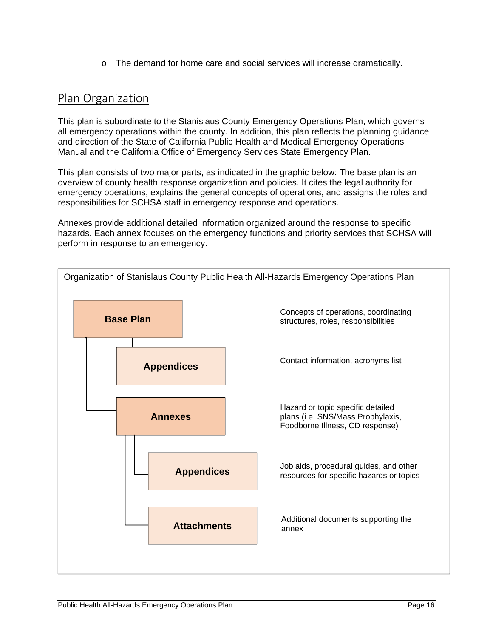o The demand for home care and social services will increase dramatically.

#### Plan Organization

This plan is subordinate to the Stanislaus County Emergency Operations Plan, which governs all emergency operations within the county. In addition, this plan reflects the planning guidance and direction of the State of California Public Health and Medical Emergency Operations Manual and the California Office of Emergency Services State Emergency Plan.

This plan consists of two major parts, as indicated in the graphic below: The base plan is an overview of county health response organization and policies. It cites the legal authority for emergency operations, explains the general concepts of operations, and assigns the roles and responsibilities for SCHSA staff in emergency response and operations.

Annexes provide additional detailed information organized around the response to specific hazards. Each annex focuses on the emergency functions and priority services that SCHSA will perform in response to an emergency.

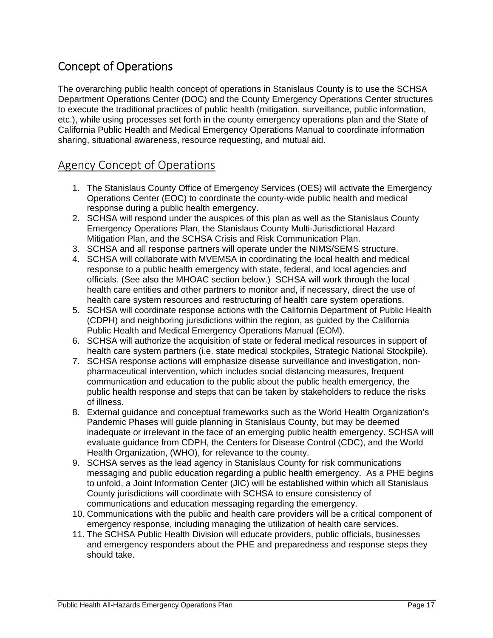### Concept of Operations

The overarching public health concept of operations in Stanislaus County is to use the SCHSA Department Operations Center (DOC) and the County Emergency Operations Center structures to execute the traditional practices of public health (mitigation, surveillance, public information, etc.), while using processes set forth in the county emergency operations plan and the State of California Public Health and Medical Emergency Operations Manual to coordinate information sharing, situational awareness, resource requesting, and mutual aid.

### Agency Concept of Operations

- 1. The Stanislaus County Office of Emergency Services (OES) will activate the Emergency Operations Center (EOC) to coordinate the county-wide public health and medical response during a public health emergency.
- 2. SCHSA will respond under the auspices of this plan as well as the Stanislaus County Emergency Operations Plan, the Stanislaus County Multi-Jurisdictional Hazard Mitigation Plan, and the SCHSA Crisis and Risk Communication Plan.
- 3. SCHSA and all response partners will operate under the NIMS/SEMS structure.
- 4. SCHSA will collaborate with MVEMSA in coordinating the local health and medical response to a public health emergency with state, federal, and local agencies and officials. (See also the MHOAC section below.) SCHSA will work through the local health care entities and other partners to monitor and, if necessary, direct the use of health care system resources and restructuring of health care system operations.
- 5. SCHSA will coordinate response actions with the California Department of Public Health (CDPH) and neighboring jurisdictions within the region, as guided by the California Public Health and Medical Emergency Operations Manual (EOM).
- 6. SCHSA will authorize the acquisition of state or federal medical resources in support of health care system partners (i.e. state medical stockpiles, Strategic National Stockpile).
- 7. SCHSA response actions will emphasize disease surveillance and investigation, nonpharmaceutical intervention, which includes social distancing measures, frequent communication and education to the public about the public health emergency, the public health response and steps that can be taken by stakeholders to reduce the risks of illness.
- 8. External guidance and conceptual frameworks such as the World Health Organization's Pandemic Phases will guide planning in Stanislaus County, but may be deemed inadequate or irrelevant in the face of an emerging public health emergency. SCHSA will evaluate guidance from CDPH, the Centers for Disease Control (CDC), and the World Health Organization, (WHO), for relevance to the county.
- 9. SCHSA serves as the lead agency in Stanislaus County for risk communications messaging and public education regarding a public health emergency. As a PHE begins to unfold, a Joint Information Center (JIC) will be established within which all Stanislaus County jurisdictions will coordinate with SCHSA to ensure consistency of communications and education messaging regarding the emergency.
- 10. Communications with the public and health care providers will be a critical component of emergency response, including managing the utilization of health care services.
- 11. The SCHSA Public Health Division will educate providers, public officials, businesses and emergency responders about the PHE and preparedness and response steps they should take.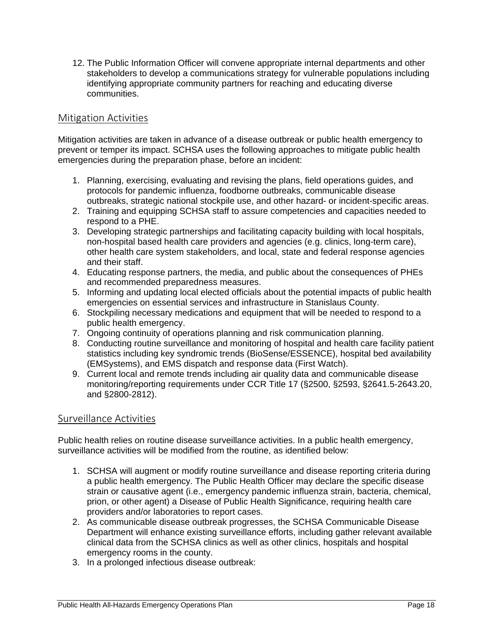12. The Public Information Officer will convene appropriate internal departments and other stakeholders to develop a communications strategy for vulnerable populations including identifying appropriate community partners for reaching and educating diverse communities.

#### Mitigation Activities

Mitigation activities are taken in advance of a disease outbreak or public health emergency to prevent or temper its impact. SCHSA uses the following approaches to mitigate public health emergencies during the preparation phase, before an incident:

- 1. Planning, exercising, evaluating and revising the plans, field operations guides, and protocols for pandemic influenza, foodborne outbreaks, communicable disease outbreaks, strategic national stockpile use, and other hazard- or incident-specific areas.
- 2. Training and equipping SCHSA staff to assure competencies and capacities needed to respond to a PHE.
- 3. Developing strategic partnerships and facilitating capacity building with local hospitals, non-hospital based health care providers and agencies (e.g. clinics, long-term care), other health care system stakeholders, and local, state and federal response agencies and their staff.
- 4. Educating response partners, the media, and public about the consequences of PHEs and recommended preparedness measures.
- 5. Informing and updating local elected officials about the potential impacts of public health emergencies on essential services and infrastructure in Stanislaus County.
- 6. Stockpiling necessary medications and equipment that will be needed to respond to a public health emergency.
- 7. Ongoing continuity of operations planning and risk communication planning.
- 8. Conducting routine surveillance and monitoring of hospital and health care facility patient statistics including key syndromic trends (BioSense/ESSENCE), hospital bed availability (EMSystems), and EMS dispatch and response data (First Watch).
- 9. Current local and remote trends including air quality data and communicable disease monitoring/reporting requirements under CCR Title 17 (§2500, §2593, §2641.5-2643.20, and §2800-2812).

#### Surveillance Activities

Public health relies on routine disease surveillance activities. In a public health emergency, surveillance activities will be modified from the routine, as identified below:

- 1. SCHSA will augment or modify routine surveillance and disease reporting criteria during a public health emergency. The Public Health Officer may declare the specific disease strain or causative agent (i.e., emergency pandemic influenza strain, bacteria, chemical, prion, or other agent) a Disease of Public Health Significance, requiring health care providers and/or laboratories to report cases.
- 2. As communicable disease outbreak progresses, the SCHSA Communicable Disease Department will enhance existing surveillance efforts, including gather relevant available clinical data from the SCHSA clinics as well as other clinics, hospitals and hospital emergency rooms in the county.
- 3. In a prolonged infectious disease outbreak: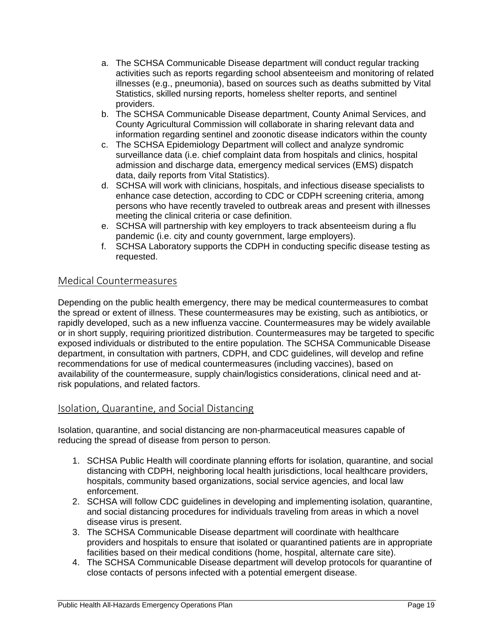- a. The SCHSA Communicable Disease department will conduct regular tracking activities such as reports regarding school absenteeism and monitoring of related illnesses (e.g., pneumonia), based on sources such as deaths submitted by Vital Statistics, skilled nursing reports, homeless shelter reports, and sentinel providers.
- b. The SCHSA Communicable Disease department, County Animal Services, and County Agricultural Commission will collaborate in sharing relevant data and information regarding sentinel and zoonotic disease indicators within the county
- c. The SCHSA Epidemiology Department will collect and analyze syndromic surveillance data (i.e. chief complaint data from hospitals and clinics, hospital admission and discharge data, emergency medical services (EMS) dispatch data, daily reports from Vital Statistics).
- d. SCHSA will work with clinicians, hospitals, and infectious disease specialists to enhance case detection, according to CDC or CDPH screening criteria, among persons who have recently traveled to outbreak areas and present with illnesses meeting the clinical criteria or case definition.
- e. SCHSA will partnership with key employers to track absenteeism during a flu pandemic (i.e. city and county government, large employers).
- f. SCHSA Laboratory supports the CDPH in conducting specific disease testing as requested.

#### Medical Countermeasures

Depending on the public health emergency, there may be medical countermeasures to combat the spread or extent of illness. These countermeasures may be existing, such as antibiotics, or rapidly developed, such as a new influenza vaccine. Countermeasures may be widely available or in short supply, requiring prioritized distribution. Countermeasures may be targeted to specific exposed individuals or distributed to the entire population. The SCHSA Communicable Disease department, in consultation with partners, CDPH, and CDC guidelines, will develop and refine recommendations for use of medical countermeasures (including vaccines), based on availability of the countermeasure, supply chain/logistics considerations, clinical need and atrisk populations, and related factors.

#### Isolation, Quarantine, and Social Distancing

Isolation, quarantine, and social distancing are non-pharmaceutical measures capable of reducing the spread of disease from person to person.

- 1. SCHSA Public Health will coordinate planning efforts for isolation, quarantine, and social distancing with CDPH, neighboring local health jurisdictions, local healthcare providers, hospitals, community based organizations, social service agencies, and local law enforcement.
- 2. SCHSA will follow CDC guidelines in developing and implementing isolation, quarantine, and social distancing procedures for individuals traveling from areas in which a novel disease virus is present.
- 3. The SCHSA Communicable Disease department will coordinate with healthcare providers and hospitals to ensure that isolated or quarantined patients are in appropriate facilities based on their medical conditions (home, hospital, alternate care site).
- 4. The SCHSA Communicable Disease department will develop protocols for quarantine of close contacts of persons infected with a potential emergent disease.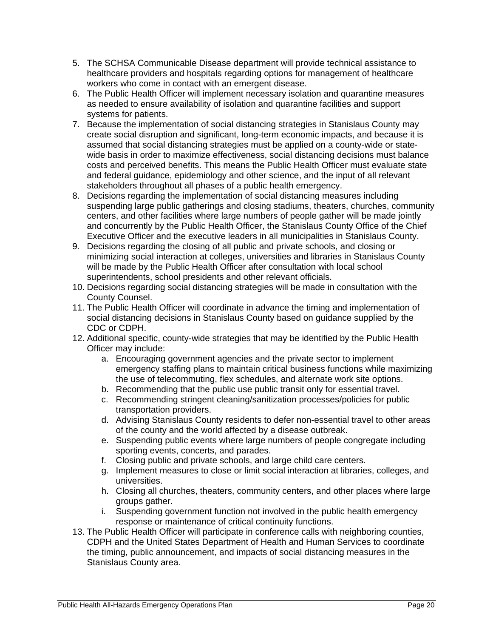- 5. The SCHSA Communicable Disease department will provide technical assistance to healthcare providers and hospitals regarding options for management of healthcare workers who come in contact with an emergent disease.
- 6. The Public Health Officer will implement necessary isolation and quarantine measures as needed to ensure availability of isolation and quarantine facilities and support systems for patients.
- 7. Because the implementation of social distancing strategies in Stanislaus County may create social disruption and significant, long-term economic impacts, and because it is assumed that social distancing strategies must be applied on a county-wide or statewide basis in order to maximize effectiveness, social distancing decisions must balance costs and perceived benefits. This means the Public Health Officer must evaluate state and federal guidance, epidemiology and other science, and the input of all relevant stakeholders throughout all phases of a public health emergency.
- 8. Decisions regarding the implementation of social distancing measures including suspending large public gatherings and closing stadiums, theaters, churches, community centers, and other facilities where large numbers of people gather will be made jointly and concurrently by the Public Health Officer, the Stanislaus County Office of the Chief Executive Officer and the executive leaders in all municipalities in Stanislaus County.
- 9. Decisions regarding the closing of all public and private schools, and closing or minimizing social interaction at colleges, universities and libraries in Stanislaus County will be made by the Public Health Officer after consultation with local school superintendents, school presidents and other relevant officials.
- 10. Decisions regarding social distancing strategies will be made in consultation with the County Counsel.
- 11. The Public Health Officer will coordinate in advance the timing and implementation of social distancing decisions in Stanislaus County based on guidance supplied by the CDC or CDPH.
- 12. Additional specific, county-wide strategies that may be identified by the Public Health Officer may include:
	- a. Encouraging government agencies and the private sector to implement emergency staffing plans to maintain critical business functions while maximizing the use of telecommuting, flex schedules, and alternate work site options.
	- b. Recommending that the public use public transit only for essential travel.
	- c. Recommending stringent cleaning/sanitization processes/policies for public transportation providers.
	- d. Advising Stanislaus County residents to defer non-essential travel to other areas of the county and the world affected by a disease outbreak.
	- e. Suspending public events where large numbers of people congregate including sporting events, concerts, and parades.
	- f. Closing public and private schools, and large child care centers.
	- g. Implement measures to close or limit social interaction at libraries, colleges, and universities.
	- h. Closing all churches, theaters, community centers, and other places where large groups gather.
	- i. Suspending government function not involved in the public health emergency response or maintenance of critical continuity functions.
- 13. The Public Health Officer will participate in conference calls with neighboring counties, CDPH and the United States Department of Health and Human Services to coordinate the timing, public announcement, and impacts of social distancing measures in the Stanislaus County area.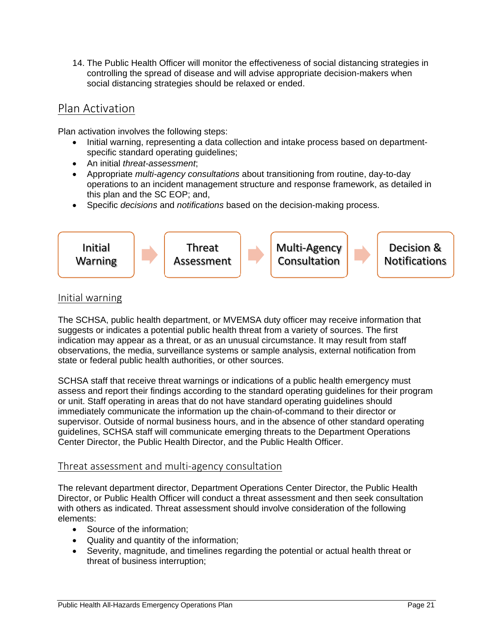14. The Public Health Officer will monitor the effectiveness of social distancing strategies in controlling the spread of disease and will advise appropriate decision-makers when social distancing strategies should be relaxed or ended.

### Plan Activation

Plan activation involves the following steps:

- Initial warning, representing a data collection and intake process based on departmentspecific standard operating guidelines;
- An initial *threat-assessment*;
- Appropriate *multi-agency consultations* about transitioning from routine, day-to-day operations to an incident management structure and response framework, as detailed in this plan and the SC EOP; and,
- Specific *decisions* and *notifications* based on the decision-making process.



#### Initial warning

The SCHSA, public health department, or MVEMSA duty officer may receive information that suggests or indicates a potential public health threat from a variety of sources. The first indication may appear as a threat, or as an unusual circumstance. It may result from staff observations, the media, surveillance systems or sample analysis, external notification from state or federal public health authorities, or other sources.

SCHSA staff that receive threat warnings or indications of a public health emergency must assess and report their findings according to the standard operating guidelines for their program or unit. Staff operating in areas that do not have standard operating guidelines should immediately communicate the information up the chain-of-command to their director or supervisor. Outside of normal business hours, and in the absence of other standard operating guidelines, SCHSA staff will communicate emerging threats to the Department Operations Center Director, the Public Health Director, and the Public Health Officer.

#### Threat assessment and multi‐agency consultation

The relevant department director, Department Operations Center Director, the Public Health Director, or Public Health Officer will conduct a threat assessment and then seek consultation with others as indicated. Threat assessment should involve consideration of the following elements:

- Source of the information:
- Quality and quantity of the information;
- Severity, magnitude, and timelines regarding the potential or actual health threat or threat of business interruption;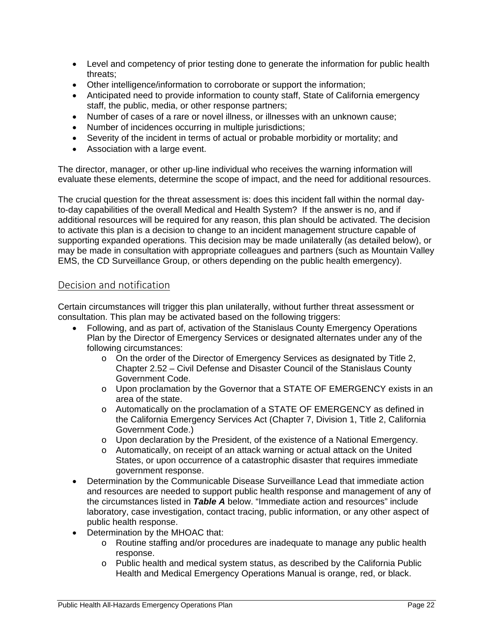- Level and competency of prior testing done to generate the information for public health threats;
- Other intelligence/information to corroborate or support the information;
- Anticipated need to provide information to county staff, State of California emergency staff, the public, media, or other response partners;
- Number of cases of a rare or novel illness, or illnesses with an unknown cause;
- Number of incidences occurring in multiple jurisdictions;
- Severity of the incident in terms of actual or probable morbidity or mortality; and
- Association with a large event.

The director, manager, or other up-line individual who receives the warning information will evaluate these elements, determine the scope of impact, and the need for additional resources.

The crucial question for the threat assessment is: does this incident fall within the normal dayto-day capabilities of the overall Medical and Health System? If the answer is no, and if additional resources will be required for any reason, this plan should be activated. The decision to activate this plan is a decision to change to an incident management structure capable of supporting expanded operations. This decision may be made unilaterally (as detailed below), or may be made in consultation with appropriate colleagues and partners (such as Mountain Valley EMS, the CD Surveillance Group, or others depending on the public health emergency).

#### Decision and notification

Certain circumstances will trigger this plan unilaterally, without further threat assessment or consultation. This plan may be activated based on the following triggers:

- Following, and as part of, activation of the Stanislaus County Emergency Operations Plan by the Director of Emergency Services or designated alternates under any of the following circumstances:
	- o On the order of the Director of Emergency Services as designated by Title 2, Chapter 2.52 – Civil Defense and Disaster Council of the Stanislaus County Government Code.
	- o Upon proclamation by the Governor that a STATE OF EMERGENCY exists in an area of the state.
	- o Automatically on the proclamation of a STATE OF EMERGENCY as defined in the California Emergency Services Act (Chapter 7, Division 1, Title 2, California Government Code.)
	- o Upon declaration by the President, of the existence of a National Emergency.
	- o Automatically, on receipt of an attack warning or actual attack on the United States, or upon occurrence of a catastrophic disaster that requires immediate government response.
- Determination by the Communicable Disease Surveillance Lead that immediate action and resources are needed to support public health response and management of any of the circumstances listed in *Table A* below. "Immediate action and resources" include laboratory, case investigation, contact tracing, public information, or any other aspect of public health response.
- Determination by the MHOAC that:
	- o Routine staffing and/or procedures are inadequate to manage any public health response.
	- o Public health and medical system status, as described by the California Public Health and Medical Emergency Operations Manual is orange, red, or black.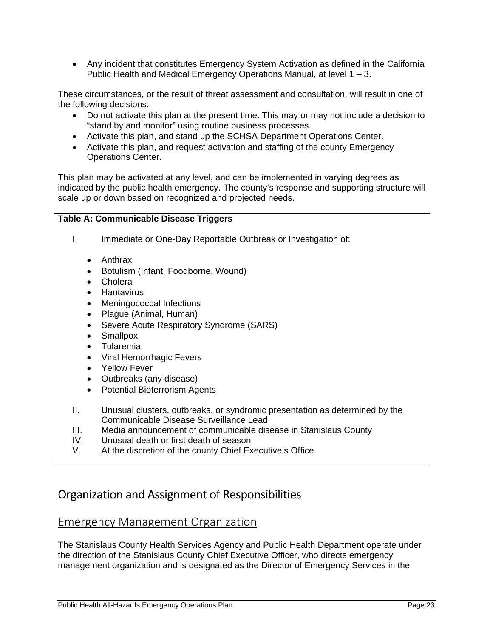Any incident that constitutes Emergency System Activation as defined in the California Public Health and Medical Emergency Operations Manual, at level 1 – 3.

These circumstances, or the result of threat assessment and consultation, will result in one of the following decisions:

- Do not activate this plan at the present time. This may or may not include a decision to "stand by and monitor" using routine business processes.
- Activate this plan, and stand up the SCHSA Department Operations Center.
- Activate this plan, and request activation and staffing of the county Emergency Operations Center.

This plan may be activated at any level, and can be implemented in varying degrees as indicated by the public health emergency. The county's response and supporting structure will scale up or down based on recognized and projected needs.

#### **Table A: Communicable Disease Triggers**

- I. Immediate or One-Day Reportable Outbreak or Investigation of:
	- Anthrax
	- Botulism (Infant, Foodborne, Wound)
	- Cholera
	- **•** Hantavirus
	- Meningococcal Infections
	- Plague (Animal, Human)
	- Severe Acute Respiratory Syndrome (SARS)
	- Smallpox
	- Tularemia
	- Viral Hemorrhagic Fevers
	- Yellow Fever
	- Outbreaks (any disease)
	- Potential Bioterrorism Agents
- II. Unusual clusters, outbreaks, or syndromic presentation as determined by the Communicable Disease Surveillance Lead
- III. Media announcement of communicable disease in Stanislaus County
- IV. Unusual death or first death of season
- V. At the discretion of the county Chief Executive's Office

### Organization and Assignment of Responsibilities

#### Emergency Management Organization

The Stanislaus County Health Services Agency and Public Health Department operate under the direction of the Stanislaus County Chief Executive Officer, who directs emergency management organization and is designated as the Director of Emergency Services in the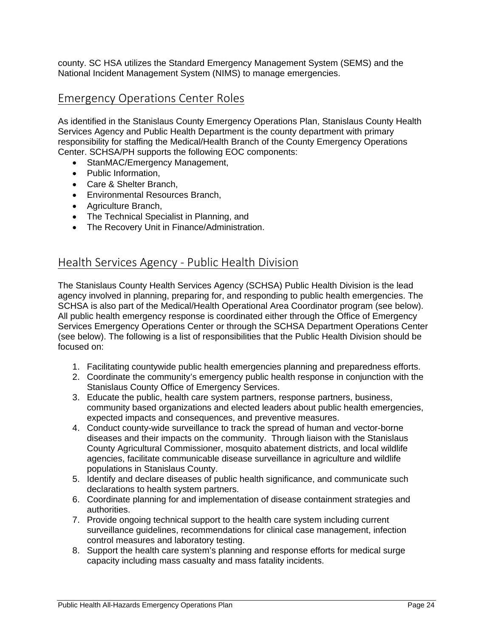county. SC HSA utilizes the Standard Emergency Management System (SEMS) and the National Incident Management System (NIMS) to manage emergencies.

#### Emergency Operations Center Roles

As identified in the Stanislaus County Emergency Operations Plan, Stanislaus County Health Services Agency and Public Health Department is the county department with primary responsibility for staffing the Medical/Health Branch of the County Emergency Operations Center. SCHSA/PH supports the following EOC components:

- StanMAC/Emergency Management,
- Public Information,
- Care & Shelter Branch,
- Environmental Resources Branch,
- Agriculture Branch,
- The Technical Specialist in Planning, and
- The Recovery Unit in Finance/Administration.

#### Health Services Agency ‐ Public Health Division

The Stanislaus County Health Services Agency (SCHSA) Public Health Division is the lead agency involved in planning, preparing for, and responding to public health emergencies. The SCHSA is also part of the Medical/Health Operational Area Coordinator program (see below). All public health emergency response is coordinated either through the Office of Emergency Services Emergency Operations Center or through the SCHSA Department Operations Center (see below). The following is a list of responsibilities that the Public Health Division should be focused on:

- 1. Facilitating countywide public health emergencies planning and preparedness efforts.
- 2. Coordinate the community's emergency public health response in conjunction with the Stanislaus County Office of Emergency Services.
- 3. Educate the public, health care system partners, response partners, business, community based organizations and elected leaders about public health emergencies, expected impacts and consequences, and preventive measures.
- 4. Conduct county-wide surveillance to track the spread of human and vector-borne diseases and their impacts on the community. Through liaison with the Stanislaus County Agricultural Commissioner, mosquito abatement districts, and local wildlife agencies, facilitate communicable disease surveillance in agriculture and wildlife populations in Stanislaus County.
- 5. Identify and declare diseases of public health significance, and communicate such declarations to health system partners.
- 6. Coordinate planning for and implementation of disease containment strategies and authorities.
- 7. Provide ongoing technical support to the health care system including current surveillance guidelines, recommendations for clinical case management, infection control measures and laboratory testing.
- 8. Support the health care system's planning and response efforts for medical surge capacity including mass casualty and mass fatality incidents.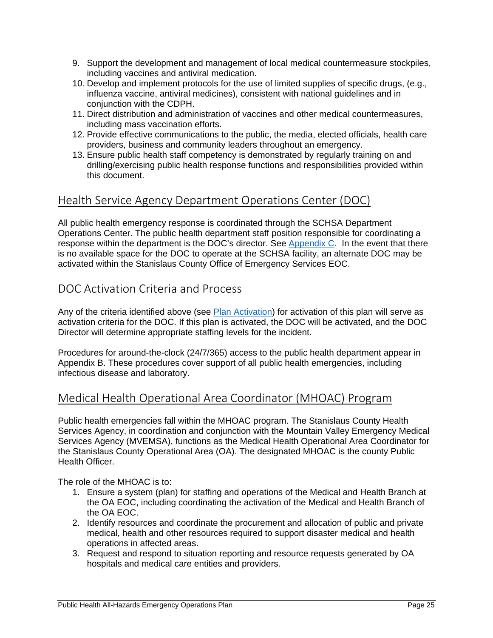- 9. Support the development and management of local medical countermeasure stockpiles, including vaccines and antiviral medication.
- 10. Develop and implement protocols for the use of limited supplies of specific drugs, (e.g., influenza vaccine, antiviral medicines), consistent with national guidelines and in conjunction with the CDPH.
- 11. Direct distribution and administration of vaccines and other medical countermeasures, including mass vaccination efforts.
- 12. Provide effective communications to the public, the media, elected officials, health care providers, business and community leaders throughout an emergency.
- 13. Ensure public health staff competency is demonstrated by regularly training on and drilling/exercising public health response functions and responsibilities provided within this document.

### Health Service Agency Department Operations Center (DOC)

All public health emergency response is coordinated through the SCHSA Department Operations Center. The public health department staff position responsible for coordinating a response within the department is the DOC's director. See Appendix  $C$ . In the event that there is no available space for the DOC to operate at the SCHSA facility, an alternate DOC may be activated within the Stanislaus County Office of Emergency Services EOC.

### DOC Activation Criteria and Process

Any of the criteria identified above (see Plan Activation) for activation of this plan will serve as activation criteria for the DOC. If this plan is activated, the DOC will be activated, and the DOC Director will determine appropriate staffing levels for the incident.

Procedures for around-the-clock (24/7/365) access to the public health department appear in Appendix B. These procedures cover support of all public health emergencies, including infectious disease and laboratory.

### Medical Health Operational Area Coordinator (MHOAC) Program

Public health emergencies fall within the MHOAC program. The Stanislaus County Health Services Agency, in coordination and conjunction with the Mountain Valley Emergency Medical Services Agency (MVEMSA), functions as the Medical Health Operational Area Coordinator for the Stanislaus County Operational Area (OA). The designated MHOAC is the county Public Health Officer.

The role of the MHOAC is to:

- 1. Ensure a system (plan) for staffing and operations of the Medical and Health Branch at the OA EOC, including coordinating the activation of the Medical and Health Branch of the OA EOC.
- 2. Identify resources and coordinate the procurement and allocation of public and private medical, health and other resources required to support disaster medical and health operations in affected areas.
- 3. Request and respond to situation reporting and resource requests generated by OA hospitals and medical care entities and providers.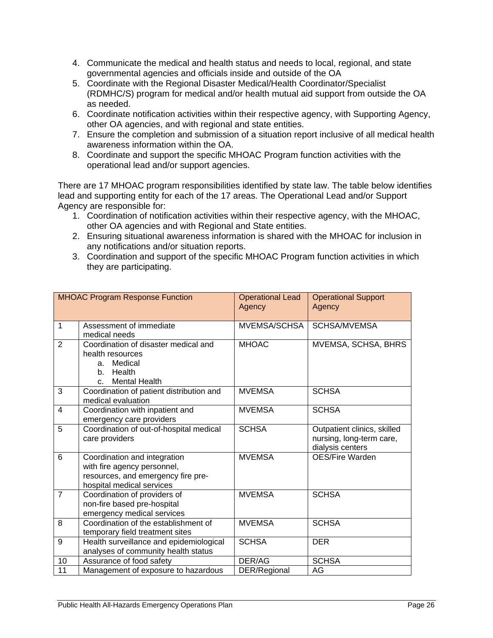- 4. Communicate the medical and health status and needs to local, regional, and state governmental agencies and officials inside and outside of the OA
- 5. Coordinate with the Regional Disaster Medical/Health Coordinator/Specialist (RDMHC/S) program for medical and/or health mutual aid support from outside the OA as needed.
- 6. Coordinate notification activities within their respective agency, with Supporting Agency, other OA agencies, and with regional and state entities.
- 7. Ensure the completion and submission of a situation report inclusive of all medical health awareness information within the OA.
- 8. Coordinate and support the specific MHOAC Program function activities with the operational lead and/or support agencies.

There are 17 MHOAC program responsibilities identified by state law. The table below identifies lead and supporting entity for each of the 17 areas. The Operational Lead and/or Support Agency are responsible for:

- 1. Coordination of notification activities within their respective agency, with the MHOAC, other OA agencies and with Regional and State entities.
- 2. Ensuring situational awareness information is shared with the MHOAC for inclusion in any notifications and/or situation reports.
- 3. Coordination and support of the specific MHOAC Program function activities in which they are participating.

|                | <b>MHOAC Program Response Function</b>                                                                                         | <b>Operational Lead</b><br>Agency | <b>Operational Support</b><br>Agency                                        |
|----------------|--------------------------------------------------------------------------------------------------------------------------------|-----------------------------------|-----------------------------------------------------------------------------|
| $\mathbf{1}$   | Assessment of immediate<br>medical needs                                                                                       | MVEMSA/SCHSA                      | <b>SCHSA/MVEMSA</b>                                                         |
| 2              | Coordination of disaster medical and<br>health resources<br>a. Medical<br>Health<br>b.<br><b>Mental Health</b><br>$\mathbf{C}$ | <b>MHOAC</b>                      | MVEMSA, SCHSA, BHRS                                                         |
| 3              | Coordination of patient distribution and<br>medical evaluation                                                                 | <b>MVEMSA</b>                     | <b>SCHSA</b>                                                                |
| 4              | Coordination with inpatient and<br>emergency care providers                                                                    | <b>MVEMSA</b>                     | <b>SCHSA</b>                                                                |
| 5              | Coordination of out-of-hospital medical<br>care providers                                                                      | <b>SCHSA</b>                      | Outpatient clinics, skilled<br>nursing, long-term care,<br>dialysis centers |
| 6              | Coordination and integration<br>with fire agency personnel,<br>resources, and emergency fire pre-<br>hospital medical services | <b>MVEMSA</b>                     | <b>OES/Fire Warden</b>                                                      |
| $\overline{7}$ | Coordination of providers of<br>non-fire based pre-hospital<br>emergency medical services                                      | <b>MVEMSA</b>                     | <b>SCHSA</b>                                                                |
| 8              | Coordination of the establishment of<br>temporary field treatment sites                                                        | <b>MVEMSA</b>                     | <b>SCHSA</b>                                                                |
| 9              | Health surveillance and epidemiological<br>analyses of community health status                                                 | <b>SCHSA</b>                      | <b>DER</b>                                                                  |
| 10             | Assurance of food safety                                                                                                       | DER/AG                            | <b>SCHSA</b>                                                                |
| 11             | Management of exposure to hazardous                                                                                            | DER/Regional                      | AG                                                                          |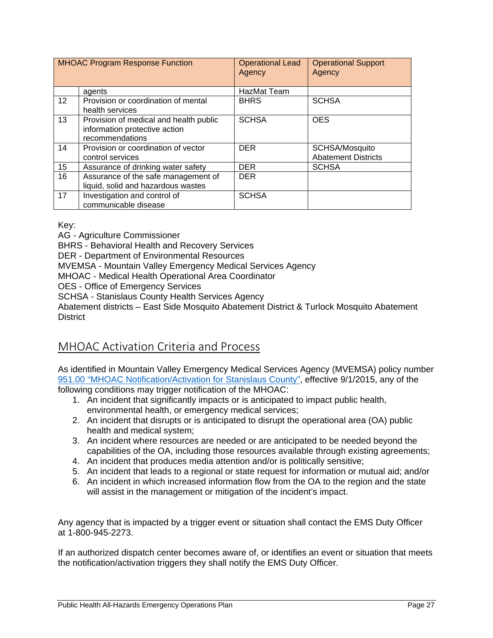| <b>MHOAC Program Response Function</b> |                                                                                            | <b>Operational Lead</b><br>Agency | <b>Operational Support</b><br>Agency         |
|----------------------------------------|--------------------------------------------------------------------------------------------|-----------------------------------|----------------------------------------------|
|                                        | agents                                                                                     | HazMat Team                       |                                              |
| $12 \overline{ }$                      | Provision or coordination of mental<br>health services                                     | <b>BHRS</b>                       | <b>SCHSA</b>                                 |
| 13                                     | Provision of medical and health public<br>information protective action<br>recommendations | <b>SCHSA</b>                      | <b>OES</b>                                   |
| 14                                     | Provision or coordination of vector<br>control services                                    | <b>DER</b>                        | SCHSA/Mosquito<br><b>Abatement Districts</b> |
| 15                                     | Assurance of drinking water safety                                                         | <b>DER</b>                        | <b>SCHSA</b>                                 |
| 16                                     | Assurance of the safe management of<br>liquid, solid and hazardous wastes                  | <b>DER</b>                        |                                              |
| 17                                     | Investigation and control of<br>communicable disease                                       | <b>SCHSA</b>                      |                                              |

Key:

AG - Agriculture Commissioner

BHRS - Behavioral Health and Recovery Services

DER - Department of Environmental Resources

MVEMSA - Mountain Valley Emergency Medical Services Agency

MHOAC - Medical Health Operational Area Coordinator

OES - Office of Emergency Services

SCHSA - Stanislaus County Health Services Agency

Abatement districts – East Side Mosquito Abatement District & Turlock Mosquito Abatement **District** 

### MHOAC Activation Criteria and Process

As identified in Mountain Valley Emergency Medical Services Agency (MVEMSA) policy number 951.00 "MHOAC Notification/Activation for Stanislaus County", effective 9/1/2015, any of the following conditions may trigger notification of the MHOAC:

- 1. An incident that significantly impacts or is anticipated to impact public health, environmental health, or emergency medical services;
- 2. An incident that disrupts or is anticipated to disrupt the operational area (OA) public health and medical system;
- 3. An incident where resources are needed or are anticipated to be needed beyond the capabilities of the OA, including those resources available through existing agreements;
- 4. An incident that produces media attention and/or is politically sensitive;
- 5. An incident that leads to a regional or state request for information or mutual aid; and/or
- 6. An incident in which increased information flow from the OA to the region and the state will assist in the management or mitigation of the incident's impact.

Any agency that is impacted by a trigger event or situation shall contact the EMS Duty Officer at 1-800-945-2273.

If an authorized dispatch center becomes aware of, or identifies an event or situation that meets the notification/activation triggers they shall notify the EMS Duty Officer.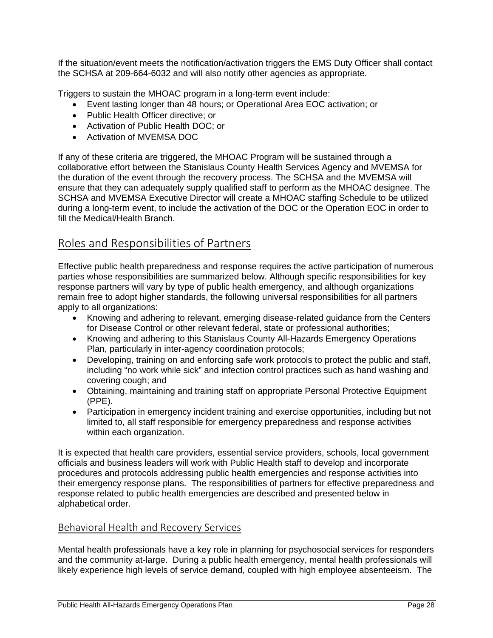If the situation/event meets the notification/activation triggers the EMS Duty Officer shall contact the SCHSA at 209-664-6032 and will also notify other agencies as appropriate.

Triggers to sustain the MHOAC program in a long-term event include:

- Event lasting longer than 48 hours; or Operational Area EOC activation; or
- Public Health Officer directive; or
- Activation of Public Health DOC; or
- Activation of MVEMSA DOC

If any of these criteria are triggered, the MHOAC Program will be sustained through a collaborative effort between the Stanislaus County Health Services Agency and MVEMSA for the duration of the event through the recovery process. The SCHSA and the MVEMSA will ensure that they can adequately supply qualified staff to perform as the MHOAC designee. The SCHSA and MVEMSA Executive Director will create a MHOAC staffing Schedule to be utilized during a long-term event, to include the activation of the DOC or the Operation EOC in order to fill the Medical/Health Branch.

### Roles and Responsibilities of Partners

Effective public health preparedness and response requires the active participation of numerous parties whose responsibilities are summarized below. Although specific responsibilities for key response partners will vary by type of public health emergency, and although organizations remain free to adopt higher standards, the following universal responsibilities for all partners apply to all organizations:

- Knowing and adhering to relevant, emerging disease-related guidance from the Centers for Disease Control or other relevant federal, state or professional authorities;
- Knowing and adhering to this Stanislaus County All-Hazards Emergency Operations Plan, particularly in inter-agency coordination protocols;
- Developing, training on and enforcing safe work protocols to protect the public and staff, including "no work while sick" and infection control practices such as hand washing and covering cough; and
- Obtaining, maintaining and training staff on appropriate Personal Protective Equipment (PPE).
- Participation in emergency incident training and exercise opportunities, including but not limited to, all staff responsible for emergency preparedness and response activities within each organization.

It is expected that health care providers, essential service providers, schools, local government officials and business leaders will work with Public Health staff to develop and incorporate procedures and protocols addressing public health emergencies and response activities into their emergency response plans. The responsibilities of partners for effective preparedness and response related to public health emergencies are described and presented below in alphabetical order.

#### Behavioral Health and Recovery Services

Mental health professionals have a key role in planning for psychosocial services for responders and the community at-large. During a public health emergency, mental health professionals will likely experience high levels of service demand, coupled with high employee absenteeism. The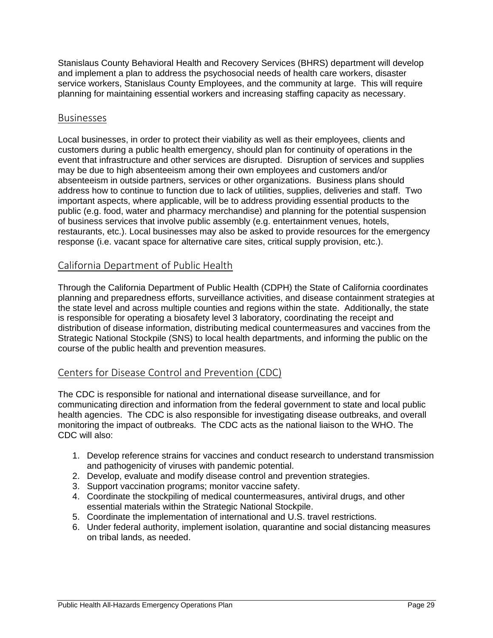Stanislaus County Behavioral Health and Recovery Services (BHRS) department will develop and implement a plan to address the psychosocial needs of health care workers, disaster service workers, Stanislaus County Employees, and the community at large. This will require planning for maintaining essential workers and increasing staffing capacity as necessary.

#### Businesses

Local businesses, in order to protect their viability as well as their employees, clients and customers during a public health emergency, should plan for continuity of operations in the event that infrastructure and other services are disrupted. Disruption of services and supplies may be due to high absenteeism among their own employees and customers and/or absenteeism in outside partners, services or other organizations. Business plans should address how to continue to function due to lack of utilities, supplies, deliveries and staff. Two important aspects, where applicable, will be to address providing essential products to the public (e.g. food, water and pharmacy merchandise) and planning for the potential suspension of business services that involve public assembly (e.g. entertainment venues, hotels, restaurants, etc.). Local businesses may also be asked to provide resources for the emergency response (i.e. vacant space for alternative care sites, critical supply provision, etc.).

#### California Department of Public Health

Through the California Department of Public Health (CDPH) the State of California coordinates planning and preparedness efforts, surveillance activities, and disease containment strategies at the state level and across multiple counties and regions within the state. Additionally, the state is responsible for operating a biosafety level 3 laboratory, coordinating the receipt and distribution of disease information, distributing medical countermeasures and vaccines from the Strategic National Stockpile (SNS) to local health departments, and informing the public on the course of the public health and prevention measures.

#### Centers for Disease Control and Prevention (CDC)

The CDC is responsible for national and international disease surveillance, and for communicating direction and information from the federal government to state and local public health agencies. The CDC is also responsible for investigating disease outbreaks, and overall monitoring the impact of outbreaks. The CDC acts as the national liaison to the WHO. The CDC will also:

- 1. Develop reference strains for vaccines and conduct research to understand transmission and pathogenicity of viruses with pandemic potential.
- 2. Develop, evaluate and modify disease control and prevention strategies.
- 3. Support vaccination programs; monitor vaccine safety.
- 4. Coordinate the stockpiling of medical countermeasures, antiviral drugs, and other essential materials within the Strategic National Stockpile.
- 5. Coordinate the implementation of international and U.S. travel restrictions.
- 6. Under federal authority, implement isolation, quarantine and social distancing measures on tribal lands, as needed.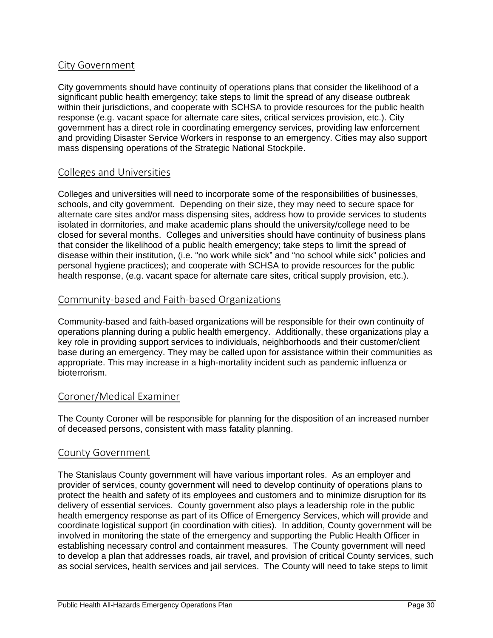#### City Government

City governments should have continuity of operations plans that consider the likelihood of a significant public health emergency; take steps to limit the spread of any disease outbreak within their jurisdictions, and cooperate with SCHSA to provide resources for the public health response (e.g. vacant space for alternate care sites, critical services provision, etc.). City government has a direct role in coordinating emergency services, providing law enforcement and providing Disaster Service Workers in response to an emergency. Cities may also support mass dispensing operations of the Strategic National Stockpile.

#### Colleges and Universities

Colleges and universities will need to incorporate some of the responsibilities of businesses, schools, and city government. Depending on their size, they may need to secure space for alternate care sites and/or mass dispensing sites, address how to provide services to students isolated in dormitories, and make academic plans should the university/college need to be closed for several months. Colleges and universities should have continuity of business plans that consider the likelihood of a public health emergency; take steps to limit the spread of disease within their institution, (i.e. "no work while sick" and "no school while sick" policies and personal hygiene practices); and cooperate with SCHSA to provide resources for the public health response, (e.g. vacant space for alternate care sites, critical supply provision, etc.).

#### Community‐based and Faith‐based Organizations

Community-based and faith-based organizations will be responsible for their own continuity of operations planning during a public health emergency. Additionally, these organizations play a key role in providing support services to individuals, neighborhoods and their customer/client base during an emergency. They may be called upon for assistance within their communities as appropriate. This may increase in a high-mortality incident such as pandemic influenza or bioterrorism.

#### Coroner/Medical Examiner

The County Coroner will be responsible for planning for the disposition of an increased number of deceased persons, consistent with mass fatality planning.

#### County Government

The Stanislaus County government will have various important roles. As an employer and provider of services, county government will need to develop continuity of operations plans to protect the health and safety of its employees and customers and to minimize disruption for its delivery of essential services. County government also plays a leadership role in the public health emergency response as part of its Office of Emergency Services, which will provide and coordinate logistical support (in coordination with cities). In addition, County government will be involved in monitoring the state of the emergency and supporting the Public Health Officer in establishing necessary control and containment measures. The County government will need to develop a plan that addresses roads, air travel, and provision of critical County services, such as social services, health services and jail services. The County will need to take steps to limit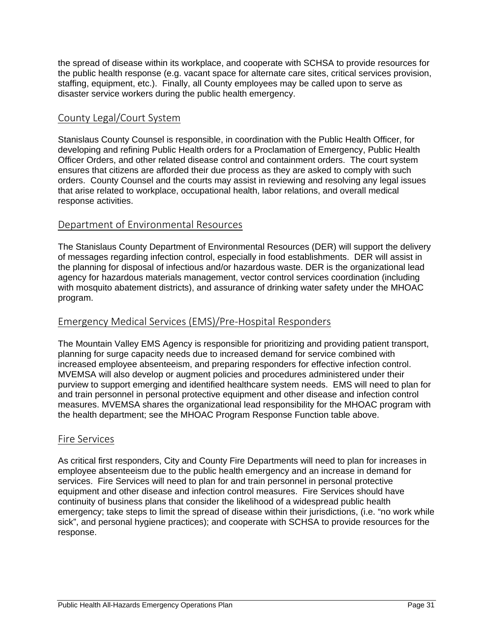the spread of disease within its workplace, and cooperate with SCHSA to provide resources for the public health response (e.g. vacant space for alternate care sites, critical services provision, staffing, equipment, etc.). Finally, all County employees may be called upon to serve as disaster service workers during the public health emergency.

#### County Legal/Court System

Stanislaus County Counsel is responsible, in coordination with the Public Health Officer, for developing and refining Public Health orders for a Proclamation of Emergency, Public Health Officer Orders, and other related disease control and containment orders. The court system ensures that citizens are afforded their due process as they are asked to comply with such orders. County Counsel and the courts may assist in reviewing and resolving any legal issues that arise related to workplace, occupational health, labor relations, and overall medical response activities.

#### Department of Environmental Resources

The Stanislaus County Department of Environmental Resources (DER) will support the delivery of messages regarding infection control, especially in food establishments. DER will assist in the planning for disposal of infectious and/or hazardous waste. DER is the organizational lead agency for hazardous materials management, vector control services coordination (including with mosquito abatement districts), and assurance of drinking water safety under the MHOAC program.

#### Emergency Medical Services (EMS)/Pre‐Hospital Responders

The Mountain Valley EMS Agency is responsible for prioritizing and providing patient transport, planning for surge capacity needs due to increased demand for service combined with increased employee absenteeism, and preparing responders for effective infection control. MVEMSA will also develop or augment policies and procedures administered under their purview to support emerging and identified healthcare system needs. EMS will need to plan for and train personnel in personal protective equipment and other disease and infection control measures. MVEMSA shares the organizational lead responsibility for the MHOAC program with the health department; see the MHOAC Program Response Function table above.

#### Fire Services

As critical first responders, City and County Fire Departments will need to plan for increases in employee absenteeism due to the public health emergency and an increase in demand for services. Fire Services will need to plan for and train personnel in personal protective equipment and other disease and infection control measures. Fire Services should have continuity of business plans that consider the likelihood of a widespread public health emergency; take steps to limit the spread of disease within their jurisdictions, (i.e. "no work while sick", and personal hygiene practices); and cooperate with SCHSA to provide resources for the response.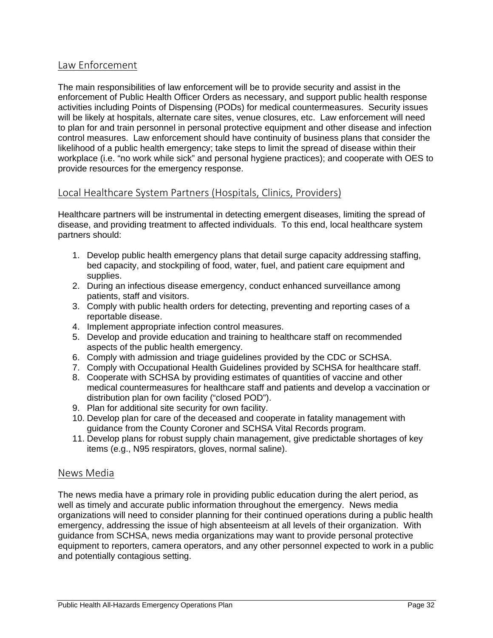#### Law Enforcement

The main responsibilities of law enforcement will be to provide security and assist in the enforcement of Public Health Officer Orders as necessary, and support public health response activities including Points of Dispensing (PODs) for medical countermeasures. Security issues will be likely at hospitals, alternate care sites, venue closures, etc. Law enforcement will need to plan for and train personnel in personal protective equipment and other disease and infection control measures. Law enforcement should have continuity of business plans that consider the likelihood of a public health emergency; take steps to limit the spread of disease within their workplace (i.e. "no work while sick" and personal hygiene practices); and cooperate with OES to provide resources for the emergency response.

#### Local Healthcare System Partners (Hospitals, Clinics, Providers)

Healthcare partners will be instrumental in detecting emergent diseases, limiting the spread of disease, and providing treatment to affected individuals. To this end, local healthcare system partners should:

- 1. Develop public health emergency plans that detail surge capacity addressing staffing, bed capacity, and stockpiling of food, water, fuel, and patient care equipment and supplies.
- 2. During an infectious disease emergency, conduct enhanced surveillance among patients, staff and visitors.
- 3. Comply with public health orders for detecting, preventing and reporting cases of a reportable disease.
- 4. Implement appropriate infection control measures.
- 5. Develop and provide education and training to healthcare staff on recommended aspects of the public health emergency.
- 6. Comply with admission and triage guidelines provided by the CDC or SCHSA.
- 7. Comply with Occupational Health Guidelines provided by SCHSA for healthcare staff.
- 8. Cooperate with SCHSA by providing estimates of quantities of vaccine and other medical countermeasures for healthcare staff and patients and develop a vaccination or distribution plan for own facility ("closed POD").
- 9. Plan for additional site security for own facility.
- 10. Develop plan for care of the deceased and cooperate in fatality management with guidance from the County Coroner and SCHSA Vital Records program.
- 11. Develop plans for robust supply chain management, give predictable shortages of key items (e.g., N95 respirators, gloves, normal saline).

#### News Media

The news media have a primary role in providing public education during the alert period, as well as timely and accurate public information throughout the emergency. News media organizations will need to consider planning for their continued operations during a public health emergency, addressing the issue of high absenteeism at all levels of their organization. With guidance from SCHSA, news media organizations may want to provide personal protective equipment to reporters, camera operators, and any other personnel expected to work in a public and potentially contagious setting.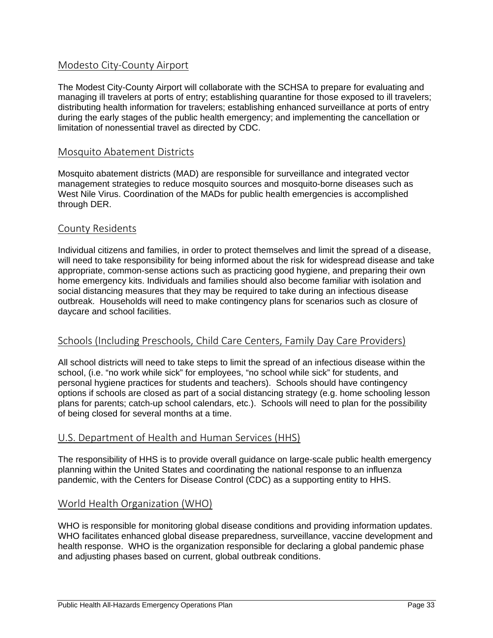#### Modesto City‐County Airport

The Modest City-County Airport will collaborate with the SCHSA to prepare for evaluating and managing ill travelers at ports of entry; establishing quarantine for those exposed to ill travelers; distributing health information for travelers; establishing enhanced surveillance at ports of entry during the early stages of the public health emergency; and implementing the cancellation or limitation of nonessential travel as directed by CDC.

#### Mosquito Abatement Districts

Mosquito abatement districts (MAD) are responsible for surveillance and integrated vector management strategies to reduce mosquito sources and mosquito-borne diseases such as West Nile Virus. Coordination of the MADs for public health emergencies is accomplished through DER.

#### County Residents

Individual citizens and families, in order to protect themselves and limit the spread of a disease, will need to take responsibility for being informed about the risk for widespread disease and take appropriate, common-sense actions such as practicing good hygiene, and preparing their own home emergency kits. Individuals and families should also become familiar with isolation and social distancing measures that they may be required to take during an infectious disease outbreak. Households will need to make contingency plans for scenarios such as closure of daycare and school facilities.

#### Schools (Including Preschools, Child Care Centers, Family Day Care Providers)

All school districts will need to take steps to limit the spread of an infectious disease within the school, (i.e. "no work while sick" for employees, "no school while sick" for students, and personal hygiene practices for students and teachers). Schools should have contingency options if schools are closed as part of a social distancing strategy (e.g. home schooling lesson plans for parents; catch-up school calendars, etc.). Schools will need to plan for the possibility of being closed for several months at a time.

#### U.S. Department of Health and Human Services (HHS)

The responsibility of HHS is to provide overall guidance on large-scale public health emergency planning within the United States and coordinating the national response to an influenza pandemic, with the Centers for Disease Control (CDC) as a supporting entity to HHS.

#### World Health Organization (WHO)

WHO is responsible for monitoring global disease conditions and providing information updates. WHO facilitates enhanced global disease preparedness, surveillance, vaccine development and health response. WHO is the organization responsible for declaring a global pandemic phase and adjusting phases based on current, global outbreak conditions.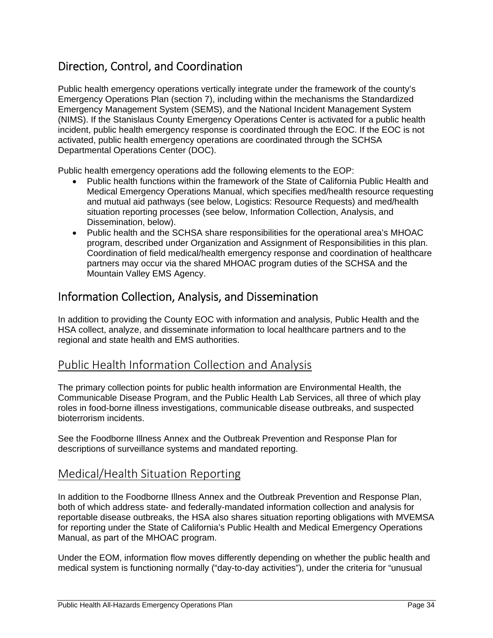### Direction, Control, and Coordination

Public health emergency operations vertically integrate under the framework of the county's Emergency Operations Plan (section 7), including within the mechanisms the Standardized Emergency Management System (SEMS), and the National Incident Management System (NIMS). If the Stanislaus County Emergency Operations Center is activated for a public health incident, public health emergency response is coordinated through the EOC. If the EOC is not activated, public health emergency operations are coordinated through the SCHSA Departmental Operations Center (DOC).

Public health emergency operations add the following elements to the EOP:

- Public health functions within the framework of the State of California Public Health and Medical Emergency Operations Manual, which specifies med/health resource requesting and mutual aid pathways (see below, Logistics: Resource Requests) and med/health situation reporting processes (see below, Information Collection, Analysis, and Dissemination, below).
- Public health and the SCHSA share responsibilities for the operational area's MHOAC program, described under Organization and Assignment of Responsibilities in this plan. Coordination of field medical/health emergency response and coordination of healthcare partners may occur via the shared MHOAC program duties of the SCHSA and the Mountain Valley EMS Agency.

### Information Collection, Analysis, and Dissemination

In addition to providing the County EOC with information and analysis, Public Health and the HSA collect, analyze, and disseminate information to local healthcare partners and to the regional and state health and EMS authorities.

#### Public Health Information Collection and Analysis

The primary collection points for public health information are Environmental Health, the Communicable Disease Program, and the Public Health Lab Services, all three of which play roles in food-borne illness investigations, communicable disease outbreaks, and suspected bioterrorism incidents.

See the Foodborne Illness Annex and the Outbreak Prevention and Response Plan for descriptions of surveillance systems and mandated reporting.

#### Medical/Health Situation Reporting

In addition to the Foodborne Illness Annex and the Outbreak Prevention and Response Plan, both of which address state- and federally-mandated information collection and analysis for reportable disease outbreaks, the HSA also shares situation reporting obligations with MVEMSA for reporting under the State of California's Public Health and Medical Emergency Operations Manual, as part of the MHOAC program.

Under the EOM, information flow moves differently depending on whether the public health and medical system is functioning normally ("day-to-day activities"), under the criteria for "unusual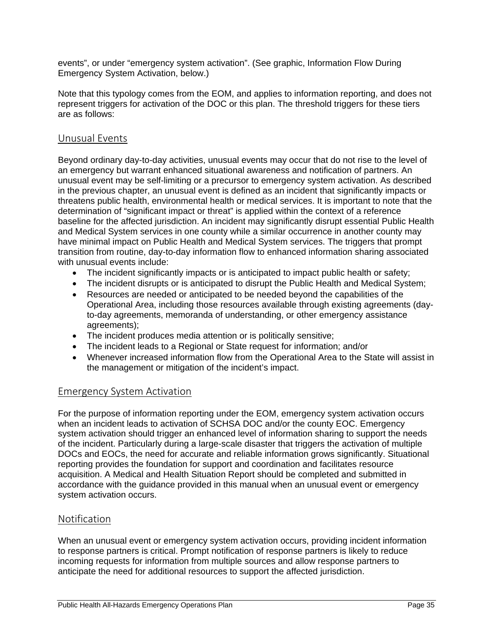events", or under "emergency system activation". (See graphic, Information Flow During Emergency System Activation, below.)

Note that this typology comes from the EOM, and applies to information reporting, and does not represent triggers for activation of the DOC or this plan. The threshold triggers for these tiers are as follows:

#### Unusual Events

Beyond ordinary day-to-day activities, unusual events may occur that do not rise to the level of an emergency but warrant enhanced situational awareness and notification of partners. An unusual event may be self-limiting or a precursor to emergency system activation. As described in the previous chapter, an unusual event is defined as an incident that significantly impacts or threatens public health, environmental health or medical services. It is important to note that the determination of "significant impact or threat" is applied within the context of a reference baseline for the affected jurisdiction. An incident may significantly disrupt essential Public Health and Medical System services in one county while a similar occurrence in another county may have minimal impact on Public Health and Medical System services. The triggers that prompt transition from routine, day-to-day information flow to enhanced information sharing associated with unusual events include:

- The incident significantly impacts or is anticipated to impact public health or safety;
- The incident disrupts or is anticipated to disrupt the Public Health and Medical System;
- Resources are needed or anticipated to be needed beyond the capabilities of the Operational Area, including those resources available through existing agreements (dayto-day agreements, memoranda of understanding, or other emergency assistance agreements);
- The incident produces media attention or is politically sensitive;
- The incident leads to a Regional or State request for information; and/or
- Whenever increased information flow from the Operational Area to the State will assist in the management or mitigation of the incident's impact.

#### Emergency System Activation

For the purpose of information reporting under the EOM, emergency system activation occurs when an incident leads to activation of SCHSA DOC and/or the county EOC. Emergency system activation should trigger an enhanced level of information sharing to support the needs of the incident. Particularly during a large-scale disaster that triggers the activation of multiple DOCs and EOCs, the need for accurate and reliable information grows significantly. Situational reporting provides the foundation for support and coordination and facilitates resource acquisition. A Medical and Health Situation Report should be completed and submitted in accordance with the guidance provided in this manual when an unusual event or emergency system activation occurs.

#### Notification

When an unusual event or emergency system activation occurs, providing incident information to response partners is critical. Prompt notification of response partners is likely to reduce incoming requests for information from multiple sources and allow response partners to anticipate the need for additional resources to support the affected jurisdiction.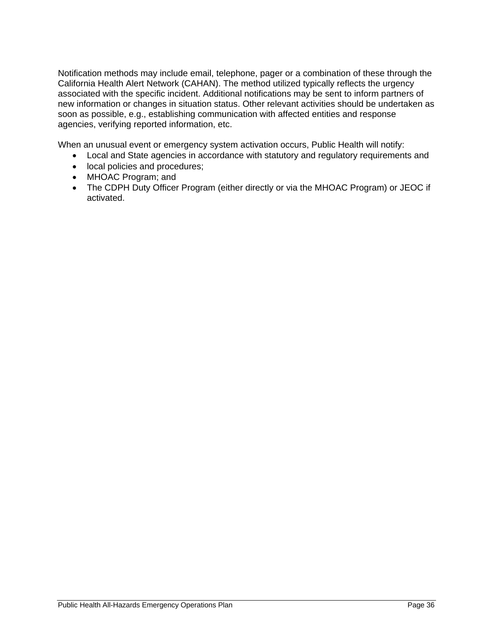Notification methods may include email, telephone, pager or a combination of these through the California Health Alert Network (CAHAN). The method utilized typically reflects the urgency associated with the specific incident. Additional notifications may be sent to inform partners of new information or changes in situation status. Other relevant activities should be undertaken as soon as possible, e.g., establishing communication with affected entities and response agencies, verifying reported information, etc.

When an unusual event or emergency system activation occurs, Public Health will notify:

- Local and State agencies in accordance with statutory and regulatory requirements and
- local policies and procedures;
- MHOAC Program; and
- The CDPH Duty Officer Program (either directly or via the MHOAC Program) or JEOC if activated.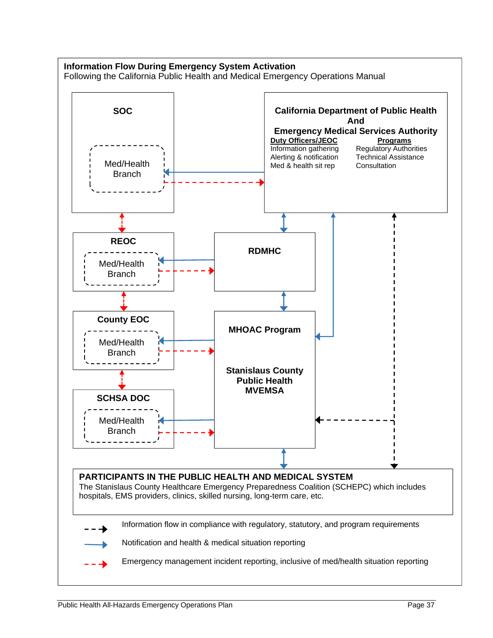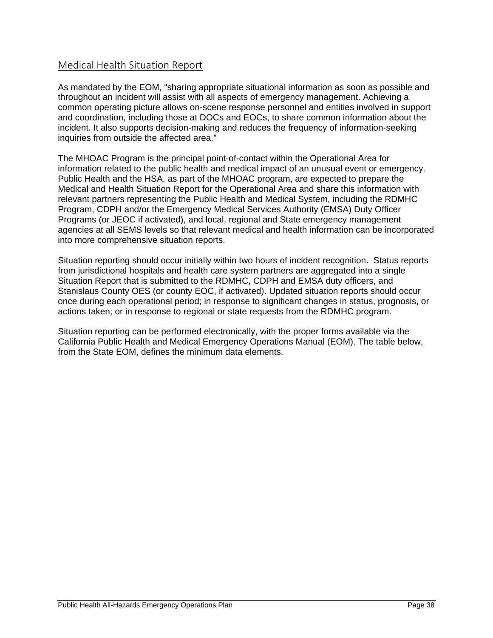#### Medical Health Situation Report

As mandated by the EOM, "sharing appropriate situational information as soon as possible and throughout an incident will assist with all aspects of emergency management. Achieving a common operating picture allows on-scene response personnel and entities involved in support and coordination, including those at DOCs and EOCs, to share common information about the incident. It also supports decision-making and reduces the frequency of information-seeking inquiries from outside the affected area."

The MHOAC Program is the principal point-of-contact within the Operational Area for information related to the public health and medical impact of an unusual event or emergency. Public Health and the HSA, as part of the MHOAC program, are expected to prepare the Medical and Health Situation Report for the Operational Area and share this information with relevant partners representing the Public Health and Medical System, including the RDMHC Program, CDPH and/or the Emergency Medical Services Authority (EMSA) Duty Officer Programs (or JEOC if activated), and local, regional and State emergency management agencies at all SEMS levels so that relevant medical and health information can be incorporated into more comprehensive situation reports.

Situation reporting should occur initially within two hours of incident recognition. Status reports from jurisdictional hospitals and health care system partners are aggregated into a single Situation Report that is submitted to the RDMHC, CDPH and EMSA duty officers, and Stanislaus County OES (or county EOC, if activated). Updated situation reports should occur once during each operational period; in response to significant changes in status, prognosis, or actions taken; or in response to regional or state requests from the RDMHC program.

Situation reporting can be performed electronically, with the proper forms available via the California Public Health and Medical Emergency Operations Manual (EOM). The table below, from the State EOM, defines the minimum data elements.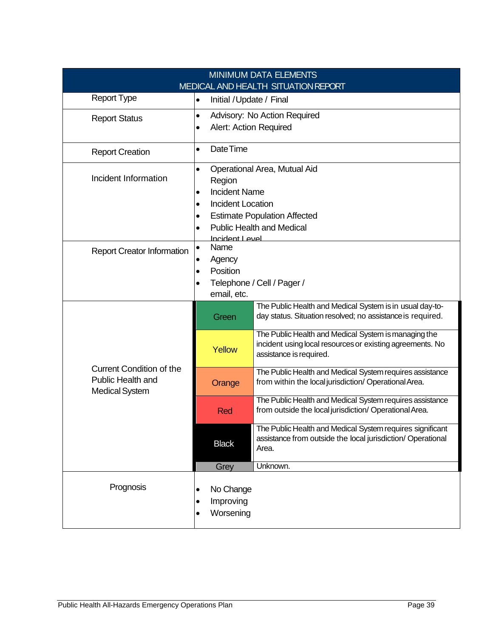| <b>MINIMUM DATA ELEMENTS</b>        |                                         |                              |                                                                                                                        |  |  |
|-------------------------------------|-----------------------------------------|------------------------------|------------------------------------------------------------------------------------------------------------------------|--|--|
| MEDICAL AND HEALTH SITUATION REPORT |                                         |                              |                                                                                                                        |  |  |
| <b>Report Type</b>                  | $\bullet$                               | Initial / Update / Final     |                                                                                                                        |  |  |
| <b>Report Status</b>                | $\bullet$                               |                              | Advisory: No Action Required                                                                                           |  |  |
|                                     | $\bullet$                               | Alert: Action Required       |                                                                                                                        |  |  |
|                                     |                                         |                              |                                                                                                                        |  |  |
| <b>Report Creation</b>              |                                         | Date Time<br>$\bullet$       |                                                                                                                        |  |  |
|                                     | $\bullet$                               | Operational Area, Mutual Aid |                                                                                                                        |  |  |
| Incident Information                |                                         | Region                       |                                                                                                                        |  |  |
|                                     | $\bullet$                               | <b>Incident Name</b>         |                                                                                                                        |  |  |
|                                     | $\bullet$                               | <b>Incident Location</b>     |                                                                                                                        |  |  |
|                                     | $\bullet$<br>$\bullet$                  |                              | <b>Estimate Population Affected</b><br><b>Public Health and Medical</b>                                                |  |  |
|                                     |                                         | Incident Level               |                                                                                                                        |  |  |
| <b>Report Creator Information</b>   | $\bullet$                               | Name                         |                                                                                                                        |  |  |
|                                     | Agency                                  |                              |                                                                                                                        |  |  |
|                                     | Position<br>$\bullet$                   |                              |                                                                                                                        |  |  |
|                                     | Telephone / Cell / Pager /<br>$\bullet$ |                              |                                                                                                                        |  |  |
|                                     | email, etc.                             |                              |                                                                                                                        |  |  |
|                                     |                                         | Green                        | The Public Health and Medical System is in usual day-to-<br>day status. Situation resolved; no assistance is required. |  |  |
|                                     |                                         |                              | The Public Health and Medical System is managing the                                                                   |  |  |
|                                     | Yellow                                  |                              | incident using local resources or existing agreements. No                                                              |  |  |
|                                     |                                         |                              | assistance is required.                                                                                                |  |  |
| <b>Current Condition of the</b>     |                                         |                              | The Public Health and Medical System requires assistance                                                               |  |  |
| <b>Public Health and</b>            |                                         | Orange                       | from within the local jurisdiction/ Operational Area.                                                                  |  |  |
| <b>Medical System</b>               |                                         |                              | The Public Health and Medical System requires assistance                                                               |  |  |
|                                     |                                         | Red                          | from outside the local jurisdiction/ Operational Area.                                                                 |  |  |
|                                     |                                         |                              | The Public Health and Medical System requires significant                                                              |  |  |
|                                     |                                         | <b>Black</b>                 | assistance from outside the local jurisdiction/ Operational                                                            |  |  |
| Area.                               |                                         |                              |                                                                                                                        |  |  |
|                                     |                                         | Grey                         | Unknown.                                                                                                               |  |  |
|                                     |                                         |                              |                                                                                                                        |  |  |
| Prognosis                           | $\bullet$                               | No Change                    |                                                                                                                        |  |  |
|                                     | $\bullet$                               | Improving                    |                                                                                                                        |  |  |
|                                     |                                         | Worsening                    |                                                                                                                        |  |  |
|                                     |                                         |                              |                                                                                                                        |  |  |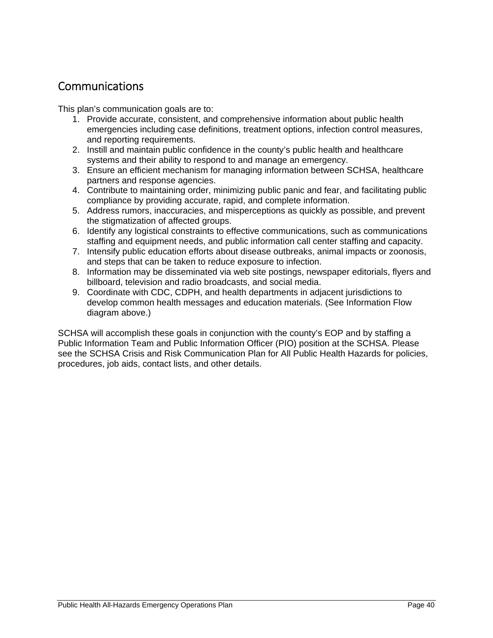### Communications

This plan's communication goals are to:

- 1. Provide accurate, consistent, and comprehensive information about public health emergencies including case definitions, treatment options, infection control measures, and reporting requirements.
- 2. Instill and maintain public confidence in the county's public health and healthcare systems and their ability to respond to and manage an emergency.
- 3. Ensure an efficient mechanism for managing information between SCHSA, healthcare partners and response agencies.
- 4. Contribute to maintaining order, minimizing public panic and fear, and facilitating public compliance by providing accurate, rapid, and complete information.
- 5. Address rumors, inaccuracies, and misperceptions as quickly as possible, and prevent the stigmatization of affected groups.
- 6. Identify any logistical constraints to effective communications, such as communications staffing and equipment needs, and public information call center staffing and capacity.
- 7. Intensify public education efforts about disease outbreaks, animal impacts or zoonosis, and steps that can be taken to reduce exposure to infection.
- 8. Information may be disseminated via web site postings, newspaper editorials, flyers and billboard, television and radio broadcasts, and social media.
- 9. Coordinate with CDC, CDPH, and health departments in adjacent jurisdictions to develop common health messages and education materials. (See Information Flow diagram above.)

SCHSA will accomplish these goals in conjunction with the county's EOP and by staffing a Public Information Team and Public Information Officer (PIO) position at the SCHSA. Please see the SCHSA Crisis and Risk Communication Plan for All Public Health Hazards for policies, procedures, job aids, contact lists, and other details.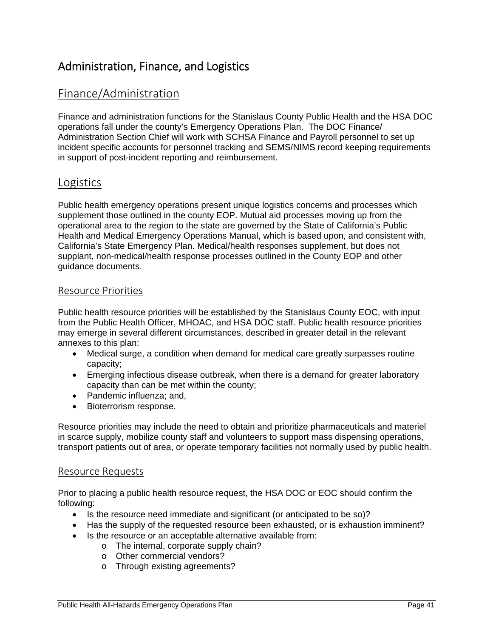### Administration, Finance, and Logistics

### Finance/Administration

Finance and administration functions for the Stanislaus County Public Health and the HSA DOC operations fall under the county's Emergency Operations Plan. The DOC Finance/ Administration Section Chief will work with SCHSA Finance and Payroll personnel to set up incident specific accounts for personnel tracking and SEMS/NIMS record keeping requirements in support of post-incident reporting and reimbursement.

### Logistics

Public health emergency operations present unique logistics concerns and processes which supplement those outlined in the county EOP. Mutual aid processes moving up from the operational area to the region to the state are governed by the State of California's Public Health and Medical Emergency Operations Manual, which is based upon, and consistent with, California's State Emergency Plan. Medical/health responses supplement, but does not supplant, non-medical/health response processes outlined in the County EOP and other guidance documents.

#### Resource Priorities

Public health resource priorities will be established by the Stanislaus County EOC, with input from the Public Health Officer, MHOAC, and HSA DOC staff. Public health resource priorities may emerge in several different circumstances, described in greater detail in the relevant annexes to this plan:

- Medical surge, a condition when demand for medical care greatly surpasses routine capacity;
- Emerging infectious disease outbreak, when there is a demand for greater laboratory capacity than can be met within the county;
- Pandemic influenza: and,
- Bioterrorism response.

Resource priorities may include the need to obtain and prioritize pharmaceuticals and materiel in scarce supply, mobilize county staff and volunteers to support mass dispensing operations, transport patients out of area, or operate temporary facilities not normally used by public health.

#### Resource Requests

Prior to placing a public health resource request, the HSA DOC or EOC should confirm the following:

- Is the resource need immediate and significant (or anticipated to be so)?
- Has the supply of the requested resource been exhausted, or is exhaustion imminent?
- Is the resource or an acceptable alternative available from:
	- o The internal, corporate supply chain?
	- o Other commercial vendors?
	- o Through existing agreements?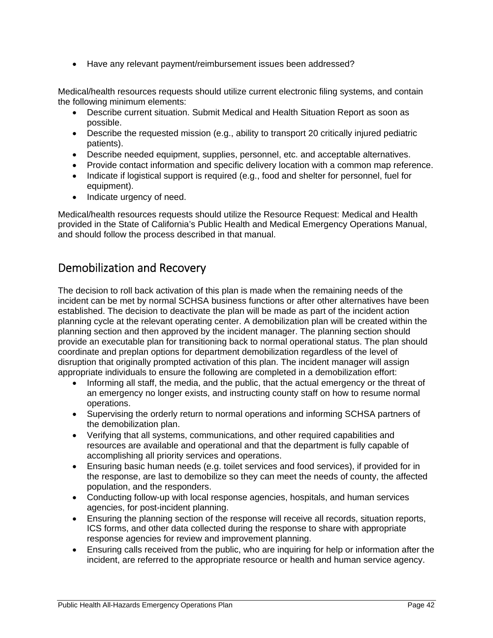• Have any relevant payment/reimbursement issues been addressed?

Medical/health resources requests should utilize current electronic filing systems, and contain the following minimum elements:

- Describe current situation. Submit Medical and Health Situation Report as soon as possible.
- Describe the requested mission (e.g., ability to transport 20 critically injured pediatric patients).
- Describe needed equipment, supplies, personnel, etc. and acceptable alternatives.
- Provide contact information and specific delivery location with a common map reference.
- Indicate if logistical support is required (e.g., food and shelter for personnel, fuel for equipment).
- Indicate urgency of need.

Medical/health resources requests should utilize the Resource Request: Medical and Health provided in the State of California's Public Health and Medical Emergency Operations Manual, and should follow the process described in that manual.

### Demobilization and Recovery

The decision to roll back activation of this plan is made when the remaining needs of the incident can be met by normal SCHSA business functions or after other alternatives have been established. The decision to deactivate the plan will be made as part of the incident action planning cycle at the relevant operating center. A demobilization plan will be created within the planning section and then approved by the incident manager. The planning section should provide an executable plan for transitioning back to normal operational status. The plan should coordinate and preplan options for department demobilization regardless of the level of disruption that originally prompted activation of this plan. The incident manager will assign appropriate individuals to ensure the following are completed in a demobilization effort:

- Informing all staff, the media, and the public, that the actual emergency or the threat of an emergency no longer exists, and instructing county staff on how to resume normal operations.
- Supervising the orderly return to normal operations and informing SCHSA partners of the demobilization plan.
- Verifying that all systems, communications, and other required capabilities and resources are available and operational and that the department is fully capable of accomplishing all priority services and operations.
- Ensuring basic human needs (e.g. toilet services and food services), if provided for in the response, are last to demobilize so they can meet the needs of county, the affected population, and the responders.
- Conducting follow-up with local response agencies, hospitals, and human services agencies, for post-incident planning.
- Ensuring the planning section of the response will receive all records, situation reports, ICS forms, and other data collected during the response to share with appropriate response agencies for review and improvement planning.
- Ensuring calls received from the public, who are inquiring for help or information after the incident, are referred to the appropriate resource or health and human service agency.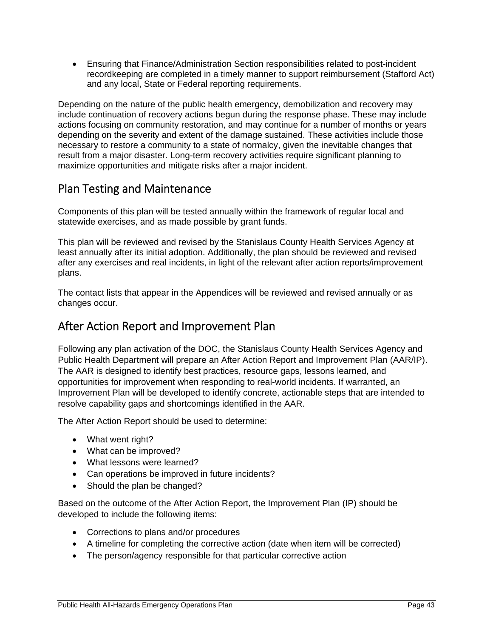Ensuring that Finance/Administration Section responsibilities related to post-incident recordkeeping are completed in a timely manner to support reimbursement (Stafford Act) and any local, State or Federal reporting requirements.

Depending on the nature of the public health emergency, demobilization and recovery may include continuation of recovery actions begun during the response phase. These may include actions focusing on community restoration, and may continue for a number of months or years depending on the severity and extent of the damage sustained. These activities include those necessary to restore a community to a state of normalcy, given the inevitable changes that result from a major disaster. Long-term recovery activities require significant planning to maximize opportunities and mitigate risks after a major incident.

### Plan Testing and Maintenance

Components of this plan will be tested annually within the framework of regular local and statewide exercises, and as made possible by grant funds.

This plan will be reviewed and revised by the Stanislaus County Health Services Agency at least annually after its initial adoption. Additionally, the plan should be reviewed and revised after any exercises and real incidents, in light of the relevant after action reports/improvement plans.

The contact lists that appear in the Appendices will be reviewed and revised annually or as changes occur.

### After Action Report and Improvement Plan

Following any plan activation of the DOC, the Stanislaus County Health Services Agency and Public Health Department will prepare an After Action Report and Improvement Plan (AAR/IP). The AAR is designed to identify best practices, resource gaps, lessons learned, and opportunities for improvement when responding to real-world incidents. If warranted, an Improvement Plan will be developed to identify concrete, actionable steps that are intended to resolve capability gaps and shortcomings identified in the AAR.

The After Action Report should be used to determine:

- What went right?
- What can be improved?
- What lessons were learned?
- Can operations be improved in future incidents?
- Should the plan be changed?

Based on the outcome of the After Action Report, the Improvement Plan (IP) should be developed to include the following items:

- Corrections to plans and/or procedures
- A timeline for completing the corrective action (date when item will be corrected)
- The person/agency responsible for that particular corrective action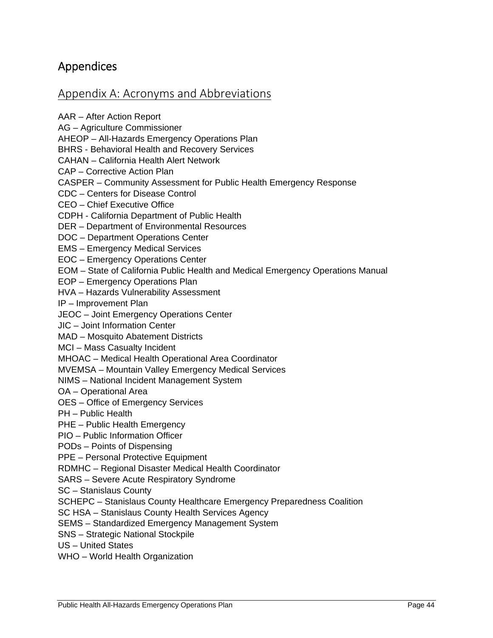### Appendices

#### Appendix A: Acronyms and Abbreviations

AAR – After Action Report AG – Agriculture Commissioner AHEOP – All-Hazards Emergency Operations Plan BHRS - Behavioral Health and Recovery Services CAHAN – California Health Alert Network CAP – Corrective Action Plan CASPER – Community Assessment for Public Health Emergency Response CDC – Centers for Disease Control CEO – Chief Executive Office CDPH - California Department of Public Health DER – Department of Environmental Resources DOC – Department Operations Center EMS – Emergency Medical Services EOC – Emergency Operations Center EOM – State of California Public Health and Medical Emergency Operations Manual EOP – Emergency Operations Plan HVA – Hazards Vulnerability Assessment IP – Improvement Plan JEOC – Joint Emergency Operations Center JIC – Joint Information Center MAD – Mosquito Abatement Districts MCI – Mass Casualty Incident MHOAC – Medical Health Operational Area Coordinator MVEMSA – Mountain Valley Emergency Medical Services NIMS – National Incident Management System OA – Operational Area OES – Office of Emergency Services PH – Public Health PHE – Public Health Emergency PIO – Public Information Officer PODs – Points of Dispensing PPE – Personal Protective Equipment RDMHC – Regional Disaster Medical Health Coordinator SARS – Severe Acute Respiratory Syndrome SC – Stanislaus County SCHEPC – Stanislaus County Healthcare Emergency Preparedness Coalition SC HSA – Stanislaus County Health Services Agency SEMS – Standardized Emergency Management System SNS – Strategic National Stockpile

US – United States

WHO – World Health Organization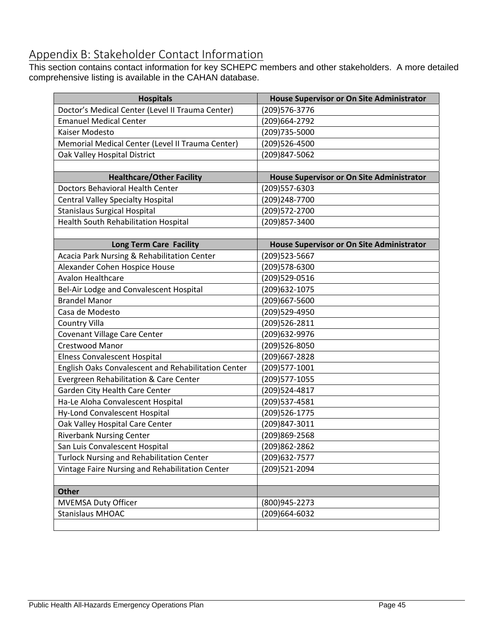### Appendix B: Stakeholder Contact Information

This section contains contact information for key SCHEPC members and other stakeholders. A more detailed comprehensive listing is available in the CAHAN database.

| <b>Hospitals</b>                                    | House Supervisor or On Site Administrator        |
|-----------------------------------------------------|--------------------------------------------------|
| Doctor's Medical Center (Level II Trauma Center)    | (209)576-3776                                    |
| <b>Emanuel Medical Center</b>                       | (209) 664 - 2792                                 |
| Kaiser Modesto                                      | (209)735-5000                                    |
| Memorial Medical Center (Level II Trauma Center)    | (209)526-4500                                    |
| Oak Valley Hospital District                        | (209)847-5062                                    |
|                                                     |                                                  |
| <b>Healthcare/Other Facility</b>                    | <b>House Supervisor or On Site Administrator</b> |
| <b>Doctors Behavioral Health Center</b>             | (209)557-6303                                    |
| <b>Central Valley Specialty Hospital</b>            | (209)248-7700                                    |
| <b>Stanislaus Surgical Hospital</b>                 | (209) 572-2700                                   |
| Health South Rehabilitation Hospital                | (209) 857-3400                                   |
|                                                     |                                                  |
| Long Term Care Facility                             | House Supervisor or On Site Administrator        |
| Acacia Park Nursing & Rehabilitation Center         | (209) 523-5667                                   |
| Alexander Cohen Hospice House                       | (209)578-6300                                    |
| <b>Avalon Healthcare</b>                            | (209)529-0516                                    |
| Bel-Air Lodge and Convalescent Hospital             | (209) 632-1075                                   |
| <b>Brandel Manor</b>                                | (209)667-5600                                    |
| Casa de Modesto                                     | (209)529-4950                                    |
| Country Villa                                       | (209)526-2811                                    |
| Covenant Village Care Center                        | (209) 632-9976                                   |
| Crestwood Manor                                     | (209)526-8050                                    |
| Elness Convalescent Hospital                        | (209)667-2828                                    |
| English Oaks Convalescent and Rehabilitation Center | (209) 577-1001                                   |
| Evergreen Rehabilitation & Care Center              | (209) 577-1055                                   |
| Garden City Health Care Center                      | (209)524-4817                                    |
| Ha-Le Aloha Convalescent Hospital                   | (209) 537-4581                                   |
| Hy-Lond Convalescent Hospital                       | (209) 526-1775                                   |
| Oak Valley Hospital Care Center                     | (209)847-3011                                    |
| <b>Riverbank Nursing Center</b>                     | (209)869-2568                                    |
| San Luis Convalescent Hospital                      | (209)862-2862                                    |
| <b>Turlock Nursing and Rehabilitation Center</b>    | (209) 632-7577                                   |
| Vintage Faire Nursing and Rehabilitation Center     | (209)521-2094                                    |
|                                                     |                                                  |
| <b>Other</b>                                        |                                                  |
| <b>MVEMSA Duty Officer</b>                          | (800)945-2273                                    |
| <b>Stanislaus MHOAC</b>                             | (209)664-6032                                    |
|                                                     |                                                  |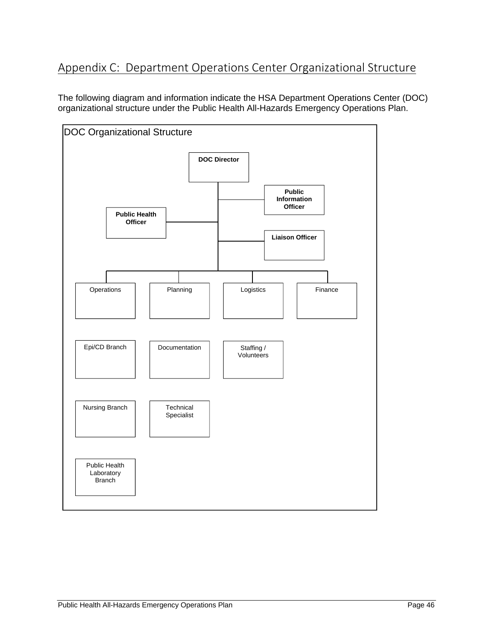### Appendix C: Department Operations Center Organizational Structure

The following diagram and information indicate the HSA Department Operations Center (DOC) organizational structure under the Public Health All-Hazards Emergency Operations Plan.

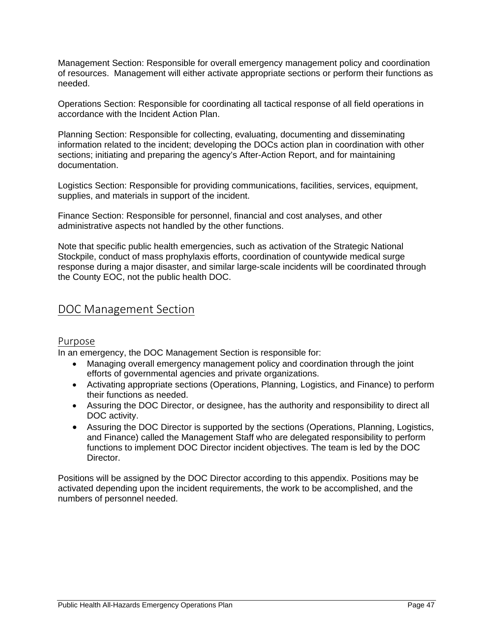Management Section: Responsible for overall emergency management policy and coordination of resources. Management will either activate appropriate sections or perform their functions as needed.

Operations Section: Responsible for coordinating all tactical response of all field operations in accordance with the Incident Action Plan.

Planning Section: Responsible for collecting, evaluating, documenting and disseminating information related to the incident; developing the DOCs action plan in coordination with other sections; initiating and preparing the agency's After-Action Report, and for maintaining documentation.

Logistics Section: Responsible for providing communications, facilities, services, equipment, supplies, and materials in support of the incident.

Finance Section: Responsible for personnel, financial and cost analyses, and other administrative aspects not handled by the other functions.

Note that specific public health emergencies, such as activation of the Strategic National Stockpile, conduct of mass prophylaxis efforts, coordination of countywide medical surge response during a major disaster, and similar large-scale incidents will be coordinated through the County EOC, not the public health DOC.

#### DOC Management Section

#### Purpose

In an emergency, the DOC Management Section is responsible for:

- Managing overall emergency management policy and coordination through the joint efforts of governmental agencies and private organizations.
- Activating appropriate sections (Operations, Planning, Logistics, and Finance) to perform their functions as needed.
- Assuring the DOC Director, or designee, has the authority and responsibility to direct all DOC activity.
- Assuring the DOC Director is supported by the sections (Operations, Planning, Logistics, and Finance) called the Management Staff who are delegated responsibility to perform functions to implement DOC Director incident objectives. The team is led by the DOC Director.

Positions will be assigned by the DOC Director according to this appendix. Positions may be activated depending upon the incident requirements, the work to be accomplished, and the numbers of personnel needed.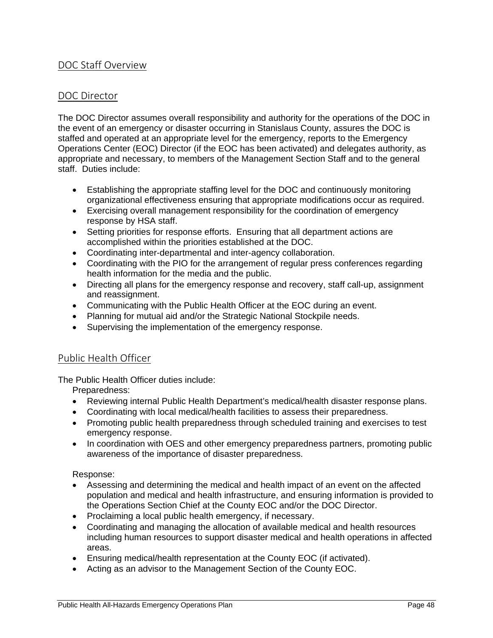#### DOC Staff Overview

#### DOC Director

The DOC Director assumes overall responsibility and authority for the operations of the DOC in the event of an emergency or disaster occurring in Stanislaus County, assures the DOC is staffed and operated at an appropriate level for the emergency, reports to the Emergency Operations Center (EOC) Director (if the EOC has been activated) and delegates authority, as appropriate and necessary, to members of the Management Section Staff and to the general staff. Duties include:

- Establishing the appropriate staffing level for the DOC and continuously monitoring organizational effectiveness ensuring that appropriate modifications occur as required.
- Exercising overall management responsibility for the coordination of emergency response by HSA staff.
- Setting priorities for response efforts. Ensuring that all department actions are accomplished within the priorities established at the DOC.
- Coordinating inter-departmental and inter-agency collaboration.
- Coordinating with the PIO for the arrangement of regular press conferences regarding health information for the media and the public.
- Directing all plans for the emergency response and recovery, staff call-up, assignment and reassignment.
- Communicating with the Public Health Officer at the EOC during an event.
- Planning for mutual aid and/or the Strategic National Stockpile needs.
- Supervising the implementation of the emergency response.

#### Public Health Officer

The Public Health Officer duties include:

Preparedness:

- Reviewing internal Public Health Department's medical/health disaster response plans.
- Coordinating with local medical/health facilities to assess their preparedness.
- Promoting public health preparedness through scheduled training and exercises to test emergency response.
- In coordination with OES and other emergency preparedness partners, promoting public awareness of the importance of disaster preparedness.

Response:

- Assessing and determining the medical and health impact of an event on the affected population and medical and health infrastructure, and ensuring information is provided to the Operations Section Chief at the County EOC and/or the DOC Director.
- Proclaiming a local public health emergency, if necessary.
- Coordinating and managing the allocation of available medical and health resources including human resources to support disaster medical and health operations in affected areas.
- Ensuring medical/health representation at the County EOC (if activated).
- Acting as an advisor to the Management Section of the County EOC.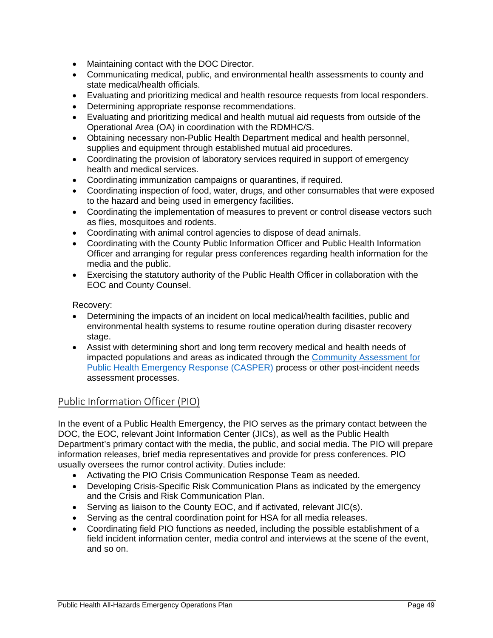- Maintaining contact with the DOC Director.
- Communicating medical, public, and environmental health assessments to county and state medical/health officials.
- Evaluating and prioritizing medical and health resource requests from local responders.
- Determining appropriate response recommendations.
- Evaluating and prioritizing medical and health mutual aid requests from outside of the Operational Area (OA) in coordination with the RDMHC/S.
- Obtaining necessary non-Public Health Department medical and health personnel, supplies and equipment through established mutual aid procedures.
- Coordinating the provision of laboratory services required in support of emergency health and medical services.
- Coordinating immunization campaigns or quarantines, if required.
- Coordinating inspection of food, water, drugs, and other consumables that were exposed to the hazard and being used in emergency facilities.
- Coordinating the implementation of measures to prevent or control disease vectors such as flies, mosquitoes and rodents.
- Coordinating with animal control agencies to dispose of dead animals.
- Coordinating with the County Public Information Officer and Public Health Information Officer and arranging for regular press conferences regarding health information for the media and the public.
- Exercising the statutory authority of the Public Health Officer in collaboration with the EOC and County Counsel.

Recovery:

- Determining the impacts of an incident on local medical/health facilities, public and environmental health systems to resume routine operation during disaster recovery stage.
- Assist with determining short and long term recovery medical and health needs of impacted populations and areas as indicated through the Community Assessment for Public Health Emergency Response (CASPER) process or other post-incident needs assessment processes.

#### Public Information Officer (PIO)

In the event of a Public Health Emergency, the PIO serves as the primary contact between the DOC, the EOC, relevant Joint Information Center (JICs), as well as the Public Health Department's primary contact with the media, the public, and social media. The PIO will prepare information releases, brief media representatives and provide for press conferences. PIO usually oversees the rumor control activity. Duties include:

- Activating the PIO Crisis Communication Response Team as needed.
- Developing Crisis-Specific Risk Communication Plans as indicated by the emergency and the Crisis and Risk Communication Plan.
- Serving as liaison to the County EOC, and if activated, relevant JIC(s).
- Serving as the central coordination point for HSA for all media releases.
- Coordinating field PIO functions as needed, including the possible establishment of a field incident information center, media control and interviews at the scene of the event, and so on.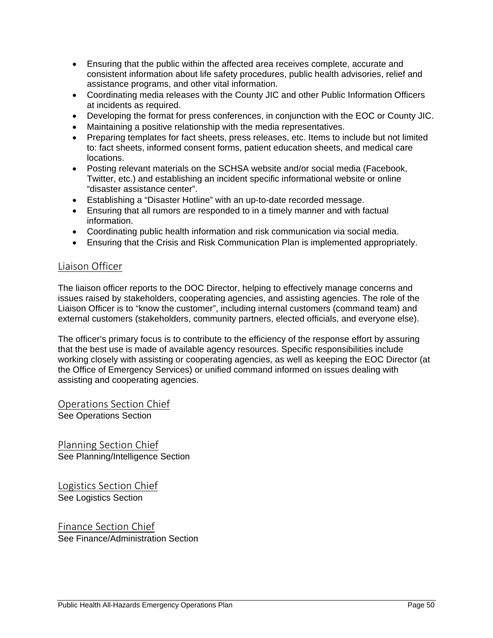- Ensuring that the public within the affected area receives complete, accurate and consistent information about life safety procedures, public health advisories, relief and assistance programs, and other vital information.
- Coordinating media releases with the County JIC and other Public Information Officers at incidents as required.
- Developing the format for press conferences, in conjunction with the EOC or County JIC.
- Maintaining a positive relationship with the media representatives.
- Preparing templates for fact sheets, press releases, etc. Items to include but not limited to: fact sheets, informed consent forms, patient education sheets, and medical care locations.
- Posting relevant materials on the SCHSA website and/or social media (Facebook, Twitter, etc.) and establishing an incident specific informational website or online "disaster assistance center".
- Establishing a "Disaster Hotline" with an up-to-date recorded message.
- Ensuring that all rumors are responded to in a timely manner and with factual information.
- Coordinating public health information and risk communication via social media.
- Ensuring that the Crisis and Risk Communication Plan is implemented appropriately.

#### Liaison Officer

The liaison officer reports to the DOC Director, helping to effectively manage concerns and issues raised by stakeholders, cooperating agencies, and assisting agencies. The role of the Liaison Officer is to "know the customer", including internal customers (command team) and external customers (stakeholders, community partners, elected officials, and everyone else).

The officer's primary focus is to contribute to the efficiency of the response effort by assuring that the best use is made of available agency resources. Specific responsibilities include working closely with assisting or cooperating agencies, as well as keeping the EOC Director (at the Office of Emergency Services) or unified command informed on issues dealing with assisting and cooperating agencies.

Operations Section Chief See Operations Section

Planning Section Chief See Planning/Intelligence Section

Logistics Section Chief See Logistics Section

Finance Section Chief See Finance/Administration Section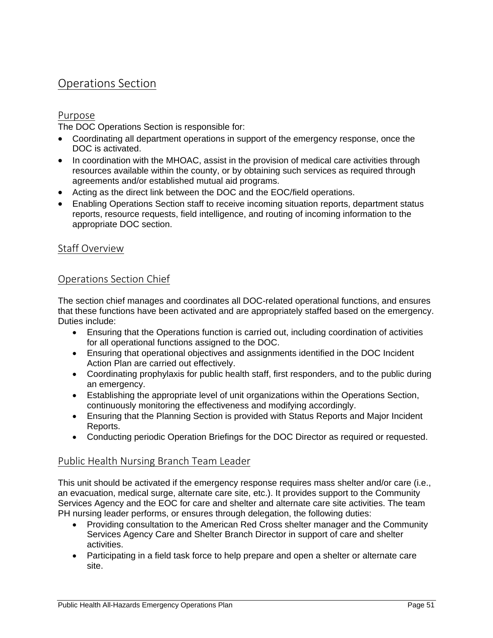### Operations Section

#### Purpose

The DOC Operations Section is responsible for:

- Coordinating all department operations in support of the emergency response, once the DOC is activated.
- In coordination with the MHOAC, assist in the provision of medical care activities through resources available within the county, or by obtaining such services as required through agreements and/or established mutual aid programs.
- Acting as the direct link between the DOC and the EOC/field operations.
- Enabling Operations Section staff to receive incoming situation reports, department status reports, resource requests, field intelligence, and routing of incoming information to the appropriate DOC section.

#### Staff Overview

#### Operations Section Chief

The section chief manages and coordinates all DOC-related operational functions, and ensures that these functions have been activated and are appropriately staffed based on the emergency. Duties include:

- Ensuring that the Operations function is carried out, including coordination of activities for all operational functions assigned to the DOC.
- Ensuring that operational objectives and assignments identified in the DOC Incident Action Plan are carried out effectively.
- Coordinating prophylaxis for public health staff, first responders, and to the public during an emergency.
- Establishing the appropriate level of unit organizations within the Operations Section, continuously monitoring the effectiveness and modifying accordingly.
- Ensuring that the Planning Section is provided with Status Reports and Major Incident Reports.
- Conducting periodic Operation Briefings for the DOC Director as required or requested.

#### Public Health Nursing Branch Team Leader

This unit should be activated if the emergency response requires mass shelter and/or care (i.e., an evacuation, medical surge, alternate care site, etc.). It provides support to the Community Services Agency and the EOC for care and shelter and alternate care site activities. The team PH nursing leader performs, or ensures through delegation, the following duties:

- Providing consultation to the American Red Cross shelter manager and the Community Services Agency Care and Shelter Branch Director in support of care and shelter activities.
- Participating in a field task force to help prepare and open a shelter or alternate care site.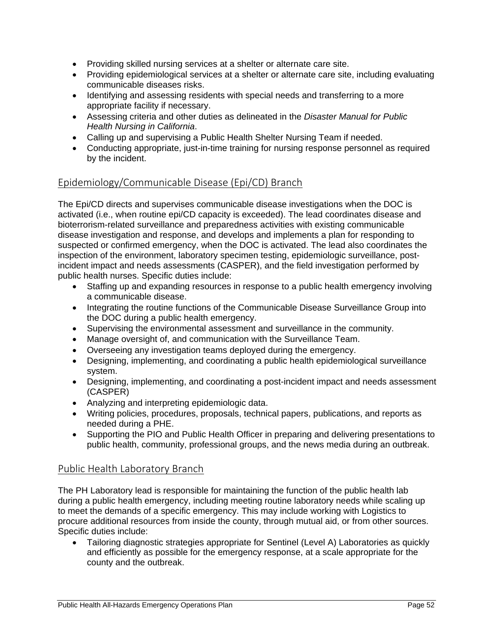- Providing skilled nursing services at a shelter or alternate care site.
- Providing epidemiological services at a shelter or alternate care site, including evaluating communicable diseases risks.
- Identifying and assessing residents with special needs and transferring to a more appropriate facility if necessary.
- Assessing criteria and other duties as delineated in the *Disaster Manual for Public Health Nursing in California*.
- Calling up and supervising a Public Health Shelter Nursing Team if needed.
- Conducting appropriate, just-in-time training for nursing response personnel as required by the incident.

#### Epidemiology/Communicable Disease (Epi/CD) Branch

The Epi/CD directs and supervises communicable disease investigations when the DOC is activated (i.e., when routine epi/CD capacity is exceeded). The lead coordinates disease and bioterrorism-related surveillance and preparedness activities with existing communicable disease investigation and response, and develops and implements a plan for responding to suspected or confirmed emergency, when the DOC is activated. The lead also coordinates the inspection of the environment, laboratory specimen testing, epidemiologic surveillance, postincident impact and needs assessments (CASPER), and the field investigation performed by public health nurses. Specific duties include:

- Staffing up and expanding resources in response to a public health emergency involving a communicable disease.
- Integrating the routine functions of the Communicable Disease Surveillance Group into the DOC during a public health emergency.
- Supervising the environmental assessment and surveillance in the community.
- Manage oversight of, and communication with the Surveillance Team.
- Overseeing any investigation teams deployed during the emergency.
- Designing, implementing, and coordinating a public health epidemiological surveillance system.
- Designing, implementing, and coordinating a post-incident impact and needs assessment (CASPER)
- Analyzing and interpreting epidemiologic data.
- Writing policies, procedures, proposals, technical papers, publications, and reports as needed during a PHE.
- Supporting the PIO and Public Health Officer in preparing and delivering presentations to public health, community, professional groups, and the news media during an outbreak.

#### Public Health Laboratory Branch

The PH Laboratory lead is responsible for maintaining the function of the public health lab during a public health emergency, including meeting routine laboratory needs while scaling up to meet the demands of a specific emergency. This may include working with Logistics to procure additional resources from inside the county, through mutual aid, or from other sources. Specific duties include:

 Tailoring diagnostic strategies appropriate for Sentinel (Level A) Laboratories as quickly and efficiently as possible for the emergency response, at a scale appropriate for the county and the outbreak.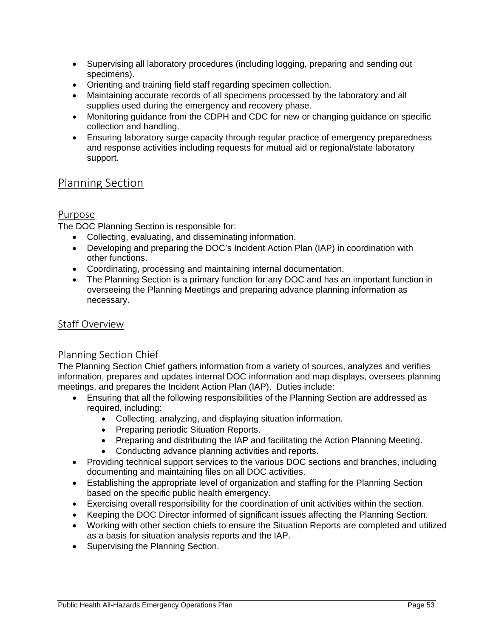- Supervising all laboratory procedures (including logging, preparing and sending out specimens).
- Orienting and training field staff regarding specimen collection.
- Maintaining accurate records of all specimens processed by the laboratory and all supplies used during the emergency and recovery phase.
- Monitoring guidance from the CDPH and CDC for new or changing guidance on specific collection and handling.
- Ensuring laboratory surge capacity through regular practice of emergency preparedness and response activities including requests for mutual aid or regional/state laboratory support.

### Planning Section

#### Purpose

The DOC Planning Section is responsible for:

- Collecting, evaluating, and disseminating information.
- Developing and preparing the DOC's Incident Action Plan (IAP) in coordination with other functions.
- Coordinating, processing and maintaining internal documentation.
- The Planning Section is a primary function for any DOC and has an important function in overseeing the Planning Meetings and preparing advance planning information as necessary.

#### Staff Overview

#### Planning Section Chief

The Planning Section Chief gathers information from a variety of sources, analyzes and verifies information, prepares and updates internal DOC information and map displays, oversees planning meetings, and prepares the Incident Action Plan (IAP). Duties include:

- Ensuring that all the following responsibilities of the Planning Section are addressed as required, including:
	- Collecting, analyzing, and displaying situation information.
	- Preparing periodic Situation Reports.
	- Preparing and distributing the IAP and facilitating the Action Planning Meeting.
	- Conducting advance planning activities and reports.
- Providing technical support services to the various DOC sections and branches, including documenting and maintaining files on all DOC activities.
- Establishing the appropriate level of organization and staffing for the Planning Section based on the specific public health emergency.
- Exercising overall responsibility for the coordination of unit activities within the section.
- Keeping the DOC Director informed of significant issues affecting the Planning Section.
- Working with other section chiefs to ensure the Situation Reports are completed and utilized as a basis for situation analysis reports and the IAP.
- Supervising the Planning Section.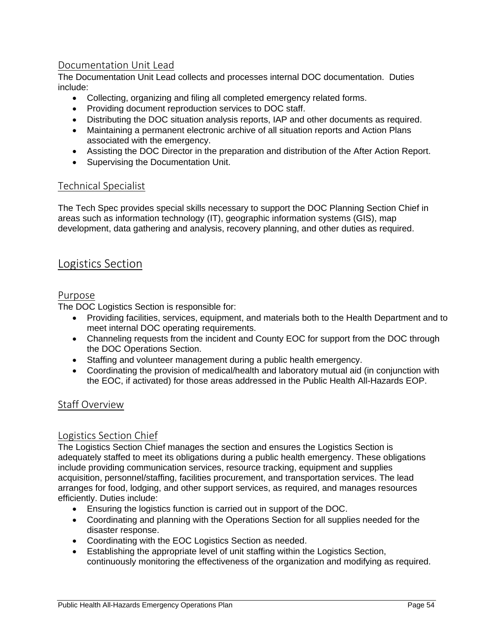#### Documentation Unit Lead

The Documentation Unit Lead collects and processes internal DOC documentation. Duties include:

- Collecting, organizing and filing all completed emergency related forms.
- Providing document reproduction services to DOC staff.
- Distributing the DOC situation analysis reports, IAP and other documents as required.
- Maintaining a permanent electronic archive of all situation reports and Action Plans associated with the emergency.
- Assisting the DOC Director in the preparation and distribution of the After Action Report.
- Supervising the Documentation Unit.

#### Technical Specialist

The Tech Spec provides special skills necessary to support the DOC Planning Section Chief in areas such as information technology (IT), geographic information systems (GIS), map development, data gathering and analysis, recovery planning, and other duties as required.

#### Logistics Section

#### Purpose

The DOC Logistics Section is responsible for:

- Providing facilities, services, equipment, and materials both to the Health Department and to meet internal DOC operating requirements.
- Channeling requests from the incident and County EOC for support from the DOC through the DOC Operations Section.
- Staffing and volunteer management during a public health emergency.
- Coordinating the provision of medical/health and laboratory mutual aid (in conjunction with the EOC, if activated) for those areas addressed in the Public Health All-Hazards EOP.

#### Staff Overview

#### Logistics Section Chief

The Logistics Section Chief manages the section and ensures the Logistics Section is adequately staffed to meet its obligations during a public health emergency. These obligations include providing communication services, resource tracking, equipment and supplies acquisition, personnel/staffing, facilities procurement, and transportation services. The lead arranges for food, lodging, and other support services, as required, and manages resources efficiently. Duties include:

- Ensuring the logistics function is carried out in support of the DOC.
- Coordinating and planning with the Operations Section for all supplies needed for the disaster response.
- Coordinating with the EOC Logistics Section as needed.
- Establishing the appropriate level of unit staffing within the Logistics Section, continuously monitoring the effectiveness of the organization and modifying as required.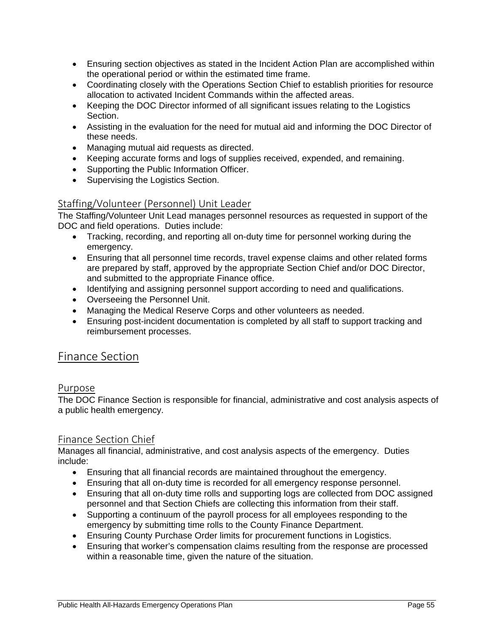- Ensuring section objectives as stated in the Incident Action Plan are accomplished within the operational period or within the estimated time frame.
- Coordinating closely with the Operations Section Chief to establish priorities for resource allocation to activated Incident Commands within the affected areas.
- Keeping the DOC Director informed of all significant issues relating to the Logistics Section.
- Assisting in the evaluation for the need for mutual aid and informing the DOC Director of these needs.
- Managing mutual aid requests as directed.
- Keeping accurate forms and logs of supplies received, expended, and remaining.
- Supporting the Public Information Officer.
- Supervising the Logistics Section.

#### Staffing/Volunteer (Personnel) Unit Leader

The Staffing/Volunteer Unit Lead manages personnel resources as requested in support of the DOC and field operations. Duties include:

- Tracking, recording, and reporting all on-duty time for personnel working during the emergency.
- Ensuring that all personnel time records, travel expense claims and other related forms are prepared by staff, approved by the appropriate Section Chief and/or DOC Director, and submitted to the appropriate Finance office.
- Identifying and assigning personnel support according to need and qualifications.
- Overseeing the Personnel Unit.
- Managing the Medical Reserve Corps and other volunteers as needed.
- Ensuring post-incident documentation is completed by all staff to support tracking and reimbursement processes.

#### Finance Section

#### Purpose

The DOC Finance Section is responsible for financial, administrative and cost analysis aspects of a public health emergency.

#### Finance Section Chief

Manages all financial, administrative, and cost analysis aspects of the emergency. Duties include:

- Ensuring that all financial records are maintained throughout the emergency.
- Ensuring that all on-duty time is recorded for all emergency response personnel.
- Ensuring that all on-duty time rolls and supporting logs are collected from DOC assigned personnel and that Section Chiefs are collecting this information from their staff.
- Supporting a continuum of the payroll process for all employees responding to the emergency by submitting time rolls to the County Finance Department.
- Ensuring County Purchase Order limits for procurement functions in Logistics.
- Ensuring that worker's compensation claims resulting from the response are processed within a reasonable time, given the nature of the situation.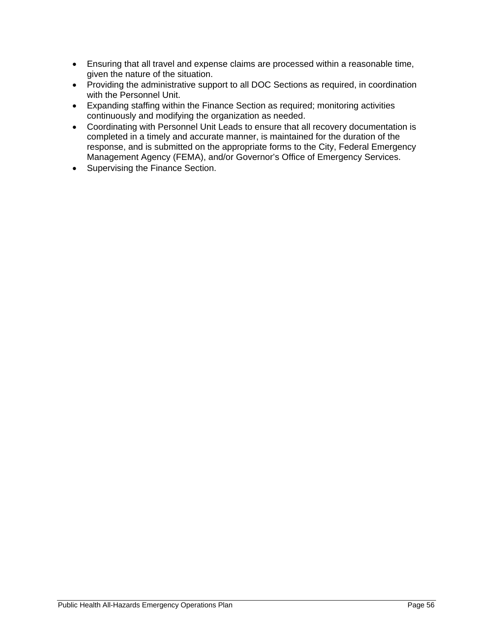- Ensuring that all travel and expense claims are processed within a reasonable time, given the nature of the situation.
- Providing the administrative support to all DOC Sections as required, in coordination with the Personnel Unit.
- Expanding staffing within the Finance Section as required; monitoring activities continuously and modifying the organization as needed.
- Coordinating with Personnel Unit Leads to ensure that all recovery documentation is completed in a timely and accurate manner, is maintained for the duration of the response, and is submitted on the appropriate forms to the City, Federal Emergency Management Agency (FEMA), and/or Governor's Office of Emergency Services.
- Supervising the Finance Section.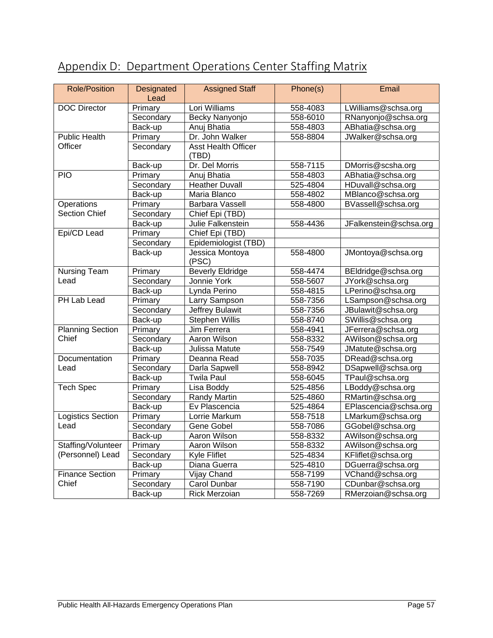| Appendix D: Department Operations Center Staffing Matrix |  |
|----------------------------------------------------------|--|
|----------------------------------------------------------|--|

| <b>Role/Position</b>     | Designated<br>Lead | <b>Assigned Staff</b>    | Phone(s) | Email                  |
|--------------------------|--------------------|--------------------------|----------|------------------------|
| <b>DOC Director</b>      | Primary            | Lori Williams            | 558-4083 | LWilliams@schsa.org    |
|                          | Secondary          | Becky Nanyonjo           | 558-6010 | RNanyonjo@schsa.org    |
|                          | Back-up            | Anuj Bhatia              | 558-4803 | ABhatia@schsa.org      |
| <b>Public Health</b>     | Primary            | Dr. John Walker          | 558-8804 | JWalker@schsa.org      |
| Officer                  | Secondary          | Asst Health Officer      |          |                        |
|                          |                    | (TBD)                    |          |                        |
|                          | Back-up            | Dr. Del Morris           | 558-7115 | DMorris@scsha.org      |
| $\overline{PIO}$         | Primary            | Anuj Bhatia              | 558-4803 | ABhatia@schsa.org      |
|                          | Secondary          | <b>Heather Duvall</b>    | 525-4804 | HDuvall@schsa.org      |
|                          | Back-up            | Maria Blanco             | 558-4802 | MBlanco@schsa.org      |
| <b>Operations</b>        | Primary            | <b>Barbara Vassell</b>   | 558-4800 | BVassell@schsa.org     |
| <b>Section Chief</b>     | Secondary          | Chief Epi (TBD)          |          |                        |
|                          | Back-up            | Julie Falkenstein        | 558-4436 | JFalkenstein@schsa.org |
| Epi/CD Lead              | Primary            | Chief Epi (TBD)          |          |                        |
|                          | Secondary          | Epidemiologist (TBD)     |          |                        |
|                          | Back-up            | Jessica Montoya<br>(PSC) | 558-4800 | JMontoya@schsa.org     |
| <b>Nursing Team</b>      | Primary            | <b>Beverly Eldridge</b>  | 558-4474 | BEldridge@schsa.org    |
| Lead                     | Secondary          | Jonnie York              | 558-5607 | JYork@schsa.org        |
|                          | Back-up            | Lynda Perino             | 558-4815 | LPerino@schsa.org      |
| PH Lab Lead              | Primary            | Larry Sampson            | 558-7356 | LSampson@schsa.org     |
|                          | Secondary          | Jeffrey Bulawit          | 558-7356 | JBulawit@schsa.org     |
|                          | Back-up            | Stephen Willis           | 558-8740 | SWillis@schsa.org      |
| <b>Planning Section</b>  | Primary            | Jim Ferrera              | 558-4941 | JFerrera@schsa.org     |
| Chief                    | Secondary          | Aaron Wilson             | 558-8332 | AWilson@schsa.org      |
|                          | Back-up            | Julissa Matute           | 558-7549 | JMatute@schsa.org      |
| Documentation            | Primary            | Deanna Read              | 558-7035 | DRead@schsa.org        |
| Lead                     | Secondary          | Darla Sapwell            | 558-8942 | DSapwell@schsa.org     |
|                          | Back-up            | <b>Twila Paul</b>        | 558-6045 | TPaul@schsa.org        |
| <b>Tech Spec</b>         | Primary            | Lisa Boddy               | 525-4856 | LBoddy@schsa.org       |
|                          | Secondary          | Randy Martin             | 525-4860 | RMartin@schsa.org      |
|                          | Back-up            | Ev Plascencia            | 525-4864 | EPlascencia@schsa.org  |
| <b>Logistics Section</b> | Primary            | Lorrie Markum            | 558-7518 | LMarkum@schsa.org      |
| Lead                     | Secondary          | Gene Gobel               | 558-7086 | GGobel@schsa.org       |
|                          | Back-up            | Aaron Wilson             | 558-8332 | AWilson@schsa.org      |
| Staffing/Volunteer       | Primary            | Aaron Wilson             | 558-8332 | AWilson@schsa.org      |
| (Personnel) Lead         | Secondary          | Kyle Fliflet             | 525-4834 | KFliflet@schsa.org     |
|                          | Back-up            | Diana Guerra             | 525-4810 | DGuerra@schsa.org      |
| <b>Finance Section</b>   | Primary            | Vijay Chand              | 558-7199 | VChand@schsa.org       |
| Chief                    | Secondary          | Carol Dunbar             | 558-7190 | CDunbar@schsa.org      |
|                          | Back-up            | <b>Rick Merzoian</b>     | 558-7269 | RMerzoian@schsa.org    |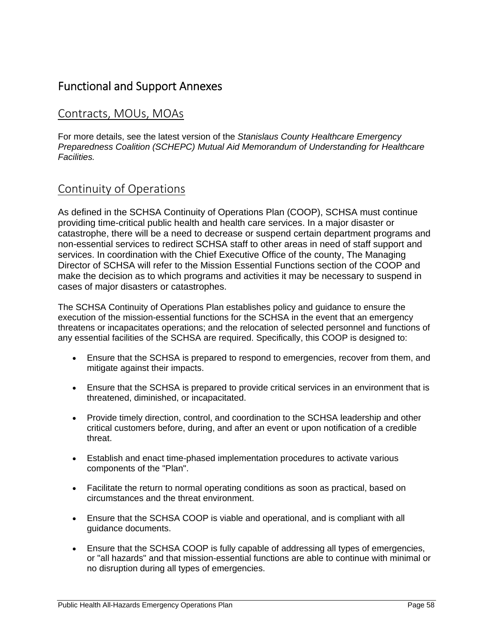### Functional and Support Annexes

### Contracts, MOUs, MOAs

For more details, see the latest version of the *Stanislaus County Healthcare Emergency Preparedness Coalition (SCHEPC) Mutual Aid Memorandum of Understanding for Healthcare Facilities.* 

### Continuity of Operations

As defined in the SCHSA Continuity of Operations Plan (COOP), SCHSA must continue providing time-critical public health and health care services. In a major disaster or catastrophe, there will be a need to decrease or suspend certain department programs and non-essential services to redirect SCHSA staff to other areas in need of staff support and services. In coordination with the Chief Executive Office of the county, The Managing Director of SCHSA will refer to the Mission Essential Functions section of the COOP and make the decision as to which programs and activities it may be necessary to suspend in cases of major disasters or catastrophes.

The SCHSA Continuity of Operations Plan establishes policy and guidance to ensure the execution of the mission-essential functions for the SCHSA in the event that an emergency threatens or incapacitates operations; and the relocation of selected personnel and functions of any essential facilities of the SCHSA are required. Specifically, this COOP is designed to:

- Ensure that the SCHSA is prepared to respond to emergencies, recover from them, and mitigate against their impacts.
- Ensure that the SCHSA is prepared to provide critical services in an environment that is threatened, diminished, or incapacitated.
- Provide timely direction, control, and coordination to the SCHSA leadership and other critical customers before, during, and after an event or upon notification of a credible threat.
- Establish and enact time-phased implementation procedures to activate various components of the "Plan".
- Facilitate the return to normal operating conditions as soon as practical, based on circumstances and the threat environment.
- Ensure that the SCHSA COOP is viable and operational, and is compliant with all guidance documents.
- Ensure that the SCHSA COOP is fully capable of addressing all types of emergencies, or "all hazards" and that mission-essential functions are able to continue with minimal or no disruption during all types of emergencies.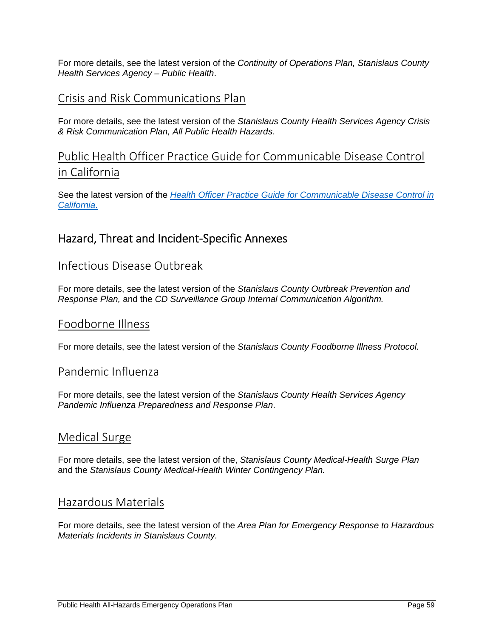For more details, see the latest version of the *Continuity of Operations Plan, Stanislaus County Health Services Agency – Public Health*.

#### Crisis and Risk Communications Plan

For more details, see the latest version of the *Stanislaus County Health Services Agency Crisis & Risk Communication Plan, All Public Health Hazards*.

### Public Health Officer Practice Guide for Communicable Disease Control in California

See the latest version of the *Health Officer Practice Guide for Communicable Disease Control in California*.

### Hazard, Threat and Incident‐Specific Annexes

#### Infectious Disease Outbreak

For more details, see the latest version of the *Stanislaus County Outbreak Prevention and Response Plan,* and the *CD Surveillance Group Internal Communication Algorithm.*

#### Foodborne Illness

For more details, see the latest version of the *Stanislaus County Foodborne Illness Protocol.*

#### Pandemic Influenza

For more details, see the latest version of the *Stanislaus County Health Services Agency Pandemic Influenza Preparedness and Response Plan*.

#### Medical Surge

For more details, see the latest version of the, *Stanislaus County Medical-Health Surge Plan* and the *Stanislaus County Medical-Health Winter Contingency Plan.*

#### Hazardous Materials

For more details, see the latest version of the *Area Plan for Emergency Response to Hazardous Materials Incidents in Stanislaus County.*